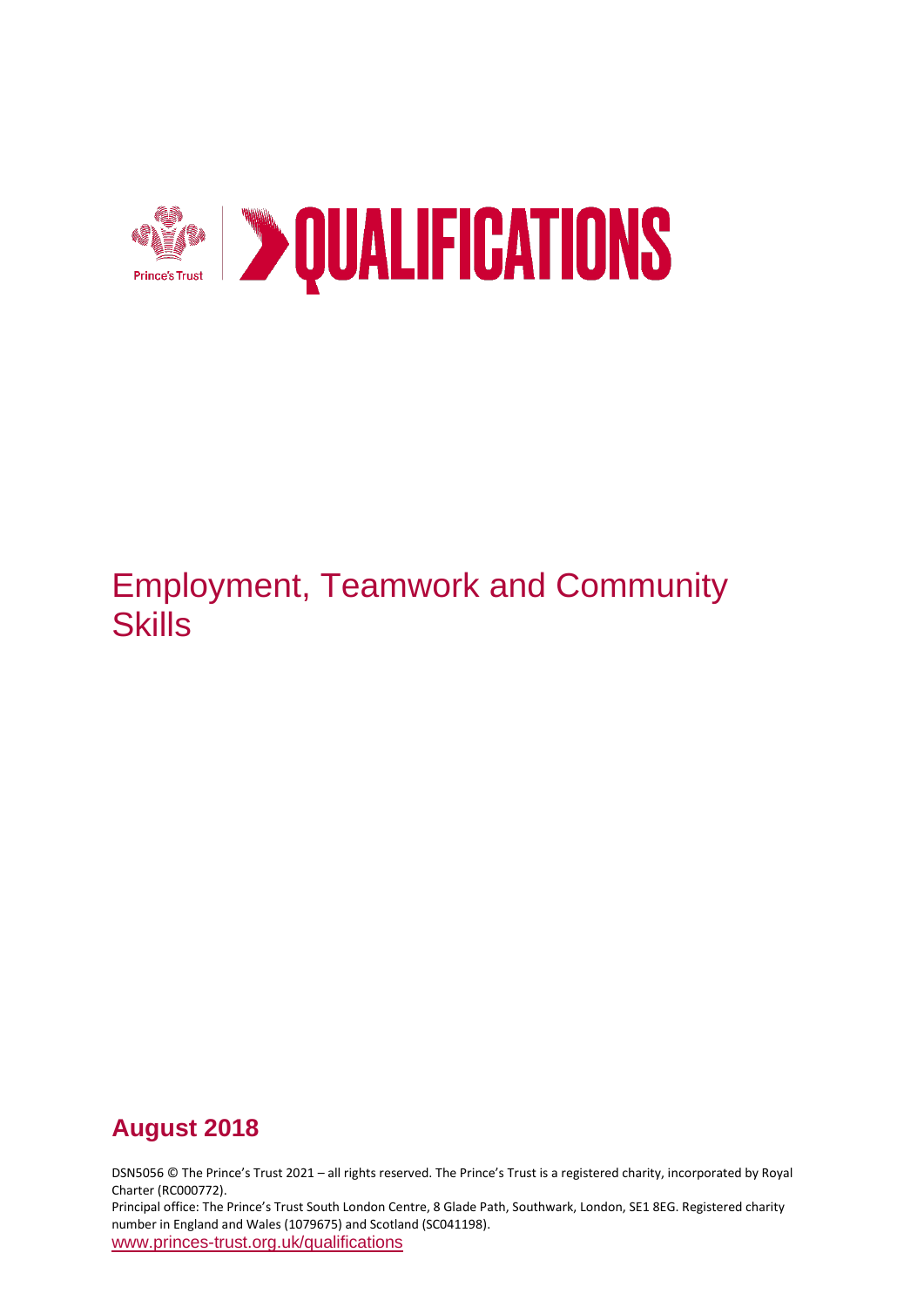

# Employment, Teamwork and Community **Skills**

# **August 2018**

DSN5056 © The Prince's Trust 2021 – all rights reserved. The Prince's Trust is a registered charity, incorporated by Royal Charter (RC000772).

Principal office: The Prince's Trust South London Centre, 8 Glade Path, Southwark, London, SE1 8EG. Registered charity number in England and Wales (1079675) and Scotland (SC041198). [www.princes-trust.org.uk/qualifications](http://www.princes-trust.org.uk/qualifications)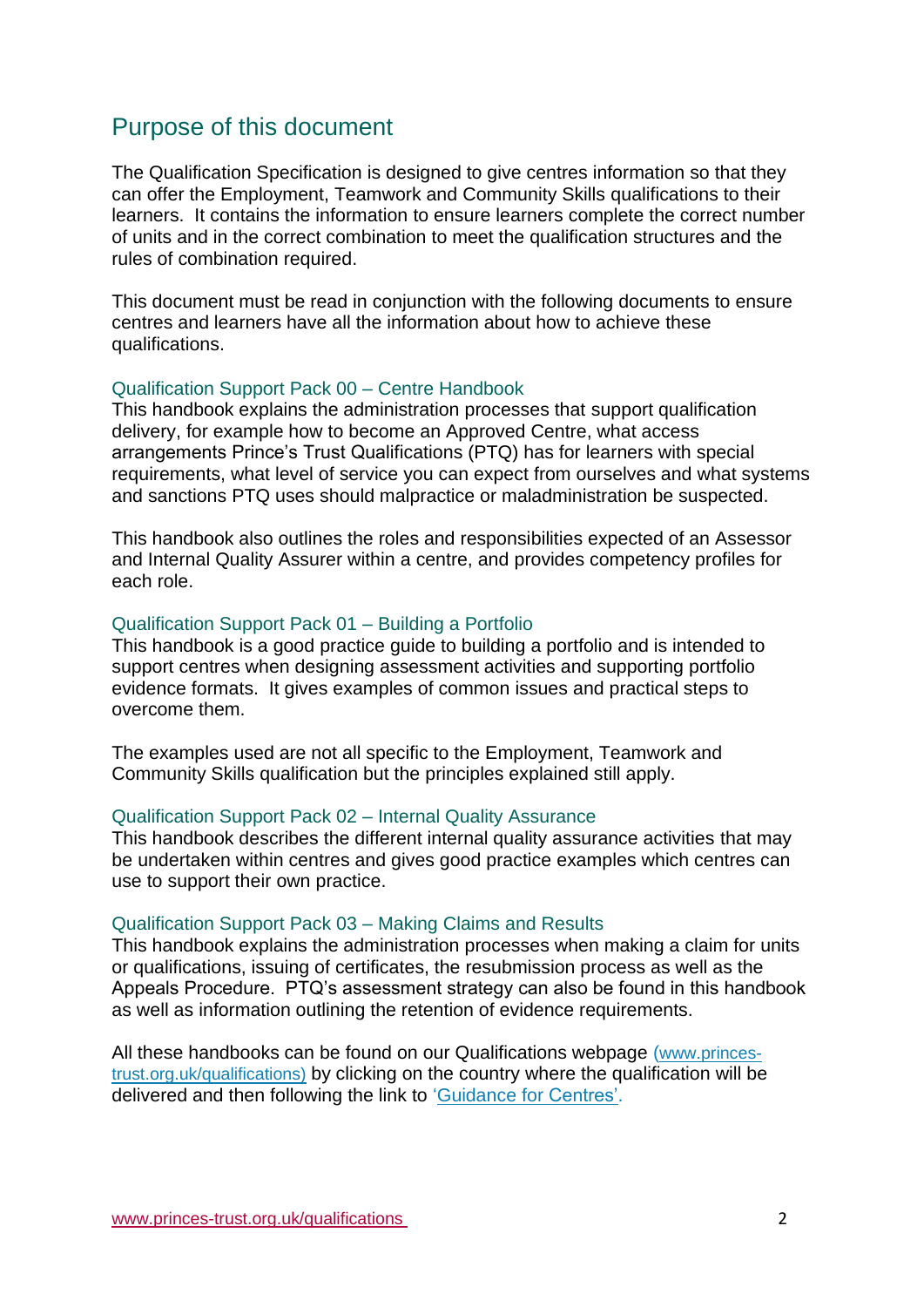## <span id="page-1-0"></span>Purpose of this document

The Qualification Specification is designed to give centres information so that they can offer the Employment, Teamwork and Community Skills qualifications to their learners. It contains the information to ensure learners complete the correct number of units and in the correct combination to meet the qualification structures and the rules of combination required.

This document must be read in conjunction with the following documents to ensure centres and learners have all the information about how to achieve these qualifications.

#### Qualification Support Pack 00 – Centre Handbook

This handbook explains the administration processes that support qualification delivery, for example how to become an Approved Centre, what access arrangements Prince's Trust Qualifications (PTQ) has for learners with special requirements, what level of service you can expect from ourselves and what systems and sanctions PTQ uses should malpractice or maladministration be suspected.

This handbook also outlines the roles and responsibilities expected of an Assessor and Internal Quality Assurer within a centre, and provides competency profiles for each role.

#### Qualification Support Pack 01 – Building a Portfolio

This handbook is a good practice guide to building a portfolio and is intended to support centres when designing assessment activities and supporting portfolio evidence formats. It gives examples of common issues and practical steps to overcome them.

The examples used are not all specific to the Employment, Teamwork and Community Skills qualification but the principles explained still apply.

#### Qualification Support Pack 02 – Internal Quality Assurance

This handbook describes the different internal quality assurance activities that may be undertaken within centres and gives good practice examples which centres can use to support their own practice.

#### Qualification Support Pack 03 – Making Claims and Results

This handbook explains the administration processes when making a claim for units or qualifications, issuing of certificates, the resubmission process as well as the Appeals Procedure. PTQ's assessment strategy can also be found in this handbook as well as information outlining the retention of evidence requirements.

All these handbooks can be found on our Qualifications webpage ([www.princes](http://www.princes-trust.org.uk/qualifications)[trust.org.uk/qualifications\)](http://www.princes-trust.org.uk/qualifications) by clicking on the country where the qualification will be delivered and then following the link to ['Guidance for Centres'.](https://www.princes-trust.org.uk/about-the-trust/qualifications/guidance-for-centres)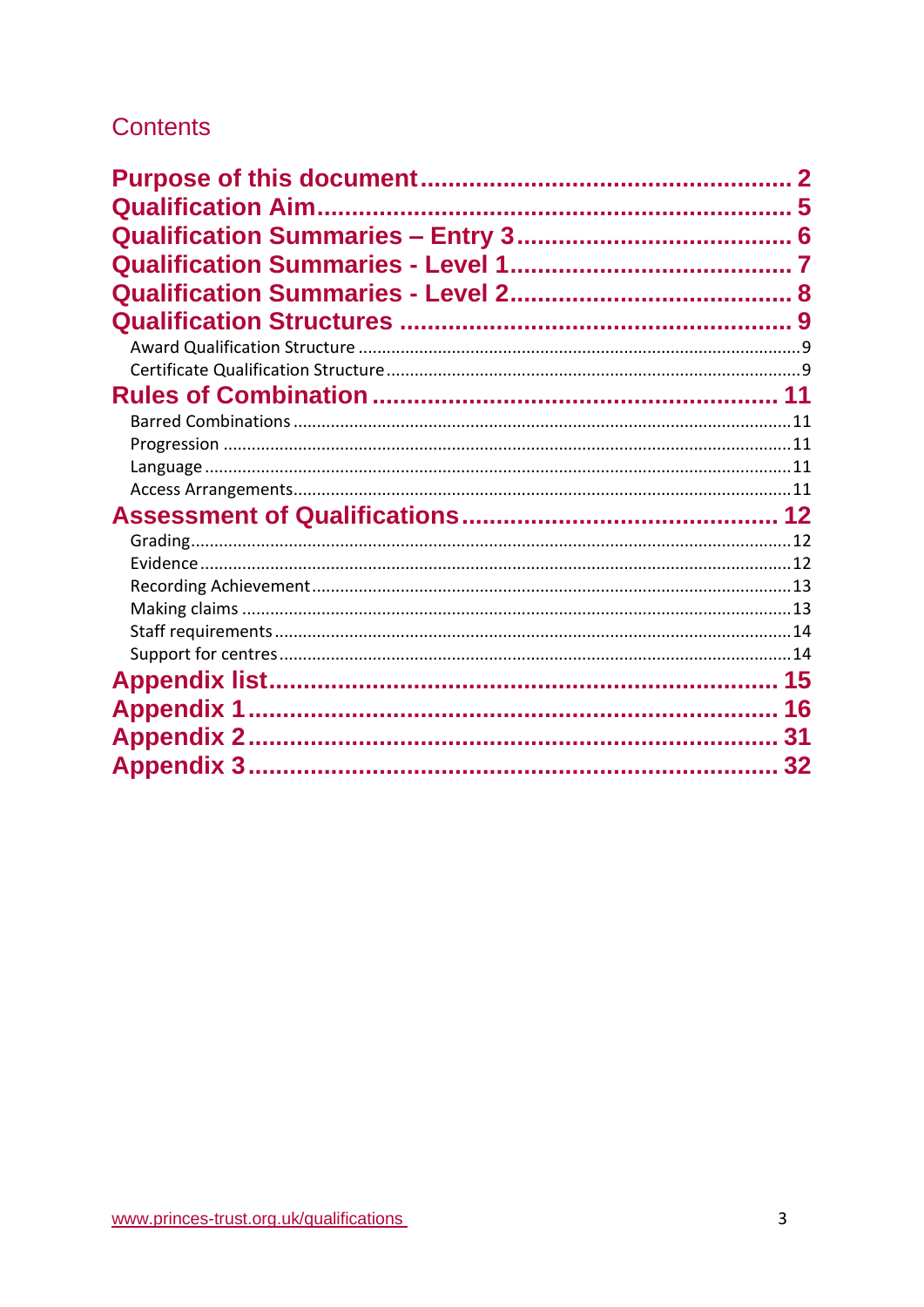# **Contents**

| 31 |
|----|
|    |
|    |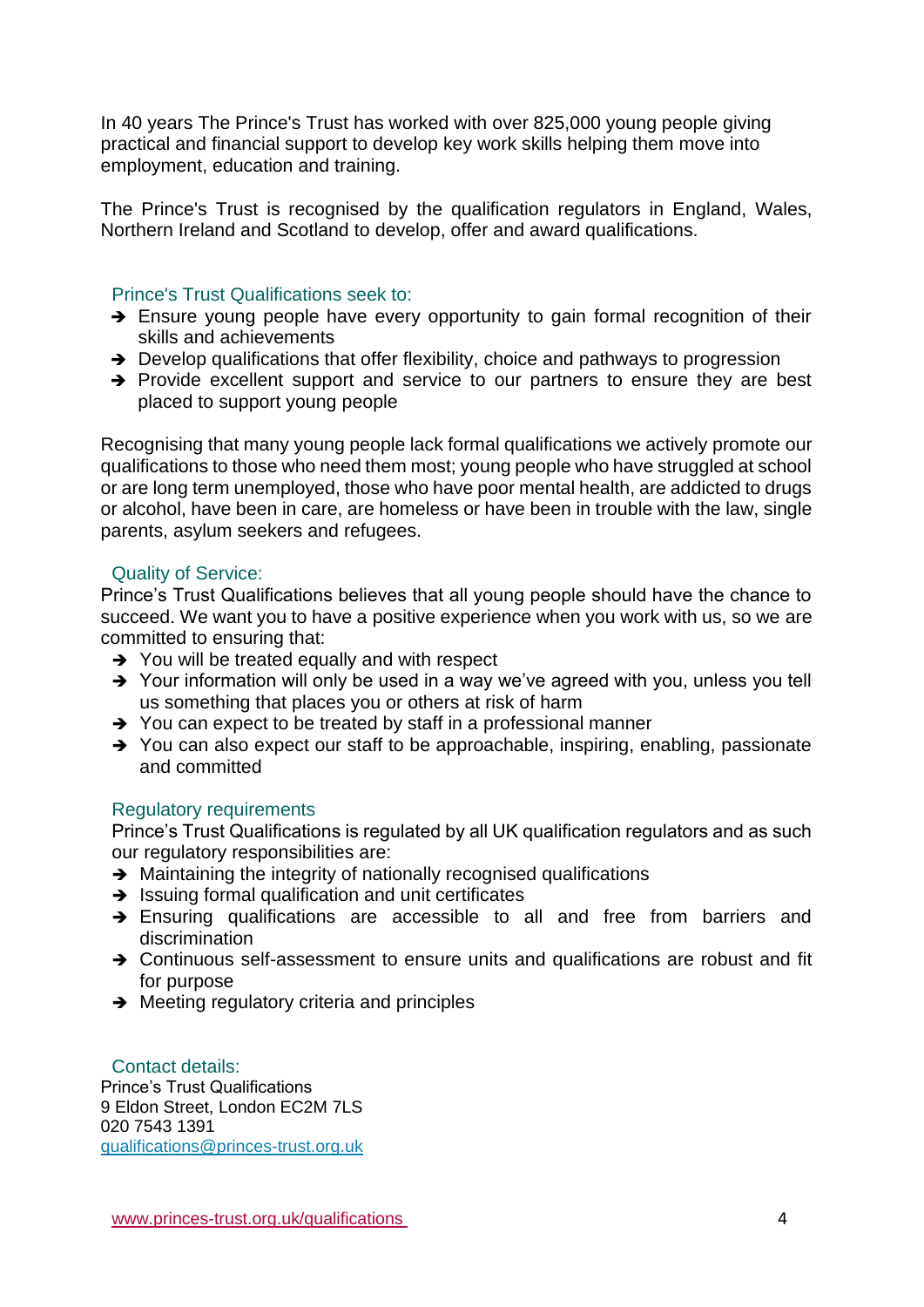In 40 years The Prince's Trust has worked with over 825,000 young people giving practical and financial support to develop key work skills helping them move into employment, education and training.

The Prince's Trust is recognised by the qualification regulators in England, Wales, Northern Ireland and Scotland to develop, offer and award qualifications.

#### Prince's Trust Qualifications seek to:

- → Ensure young people have every opportunity to gain formal recognition of their skills and achievements
- ➔ Develop qualifications that offer flexibility, choice and pathways to progression
- ➔ Provide excellent support and service to our partners to ensure they are best placed to support young people

Recognising that many young people lack formal qualifications we actively promote our qualifications to those who need them most; young people who have struggled at school or are long term unemployed, those who have poor mental health, are addicted to drugs or alcohol, have been in care, are homeless or have been in trouble with the law, single parents, asylum seekers and refugees.

#### Quality of Service:

Prince's Trust Qualifications believes that all young people should have the chance to succeed. We want you to have a positive experience when you work with us, so we are committed to ensuring that:

- **→** You will be treated equally and with respect
- ➔ Your information will only be used in a way we've agreed with you, unless you tell us something that places you or others at risk of harm
- ➔ You can expect to be treated by staff in a professional manner
- ➔ You can also expect our staff to be approachable, inspiring, enabling, passionate and committed

### Regulatory requirements

Prince's Trust Qualifications is regulated by all UK qualification regulators and as such our regulatory responsibilities are:

- **→** Maintaining the integrity of nationally recognised qualifications
- **→** Issuing formal qualification and unit certificates
- ➔ Ensuring qualifications are accessible to all and free from barriers and discrimination
- ➔ Continuous self-assessment to ensure units and qualifications are robust and fit for purpose
- **→** Meeting regulatory criteria and principles

### Contact details:

Prince's Trust Qualifications 9 Eldon Street, London EC2M 7LS 020 7543 1391 [qualifications@princes-trust.org.uk](mailto:qualifications@princes-trust.org.uk)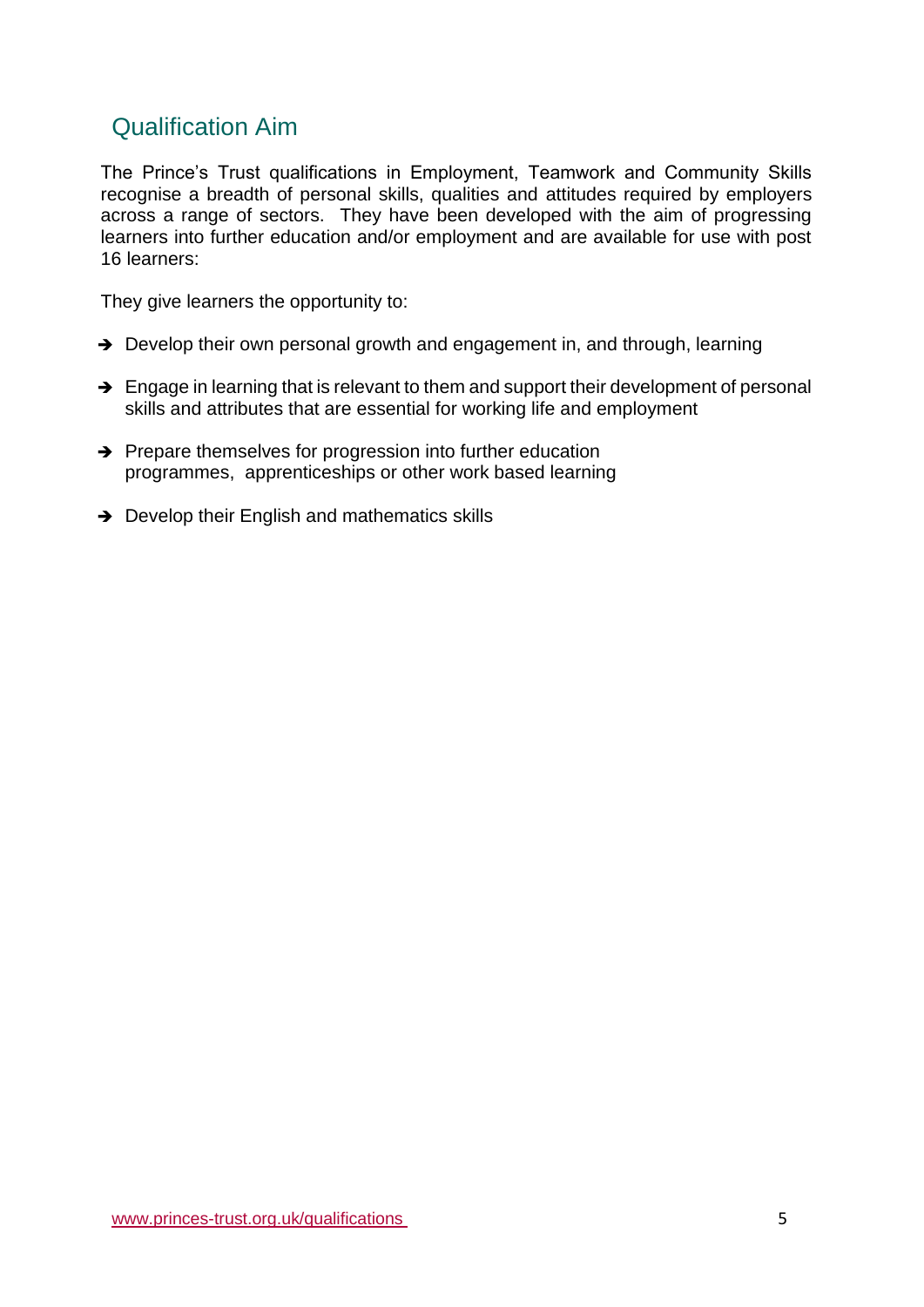## <span id="page-4-0"></span>Qualification Aim

The Prince's Trust qualifications in Employment, Teamwork and Community Skills recognise a breadth of personal skills, qualities and attitudes required by employers across a range of sectors. They have been developed with the aim of progressing learners into further education and/or employment and are available for use with post 16 learners:

They give learners the opportunity to:

- ➔ Develop their own personal growth and engagement in, and through, learning
- $\rightarrow$  Engage in learning that is relevant to them and support their development of personal skills and attributes that are essential for working life and employment
- ➔ Prepare themselves for progression into further education programmes, apprenticeships or other work based learning
- **→** Develop their English and mathematics skills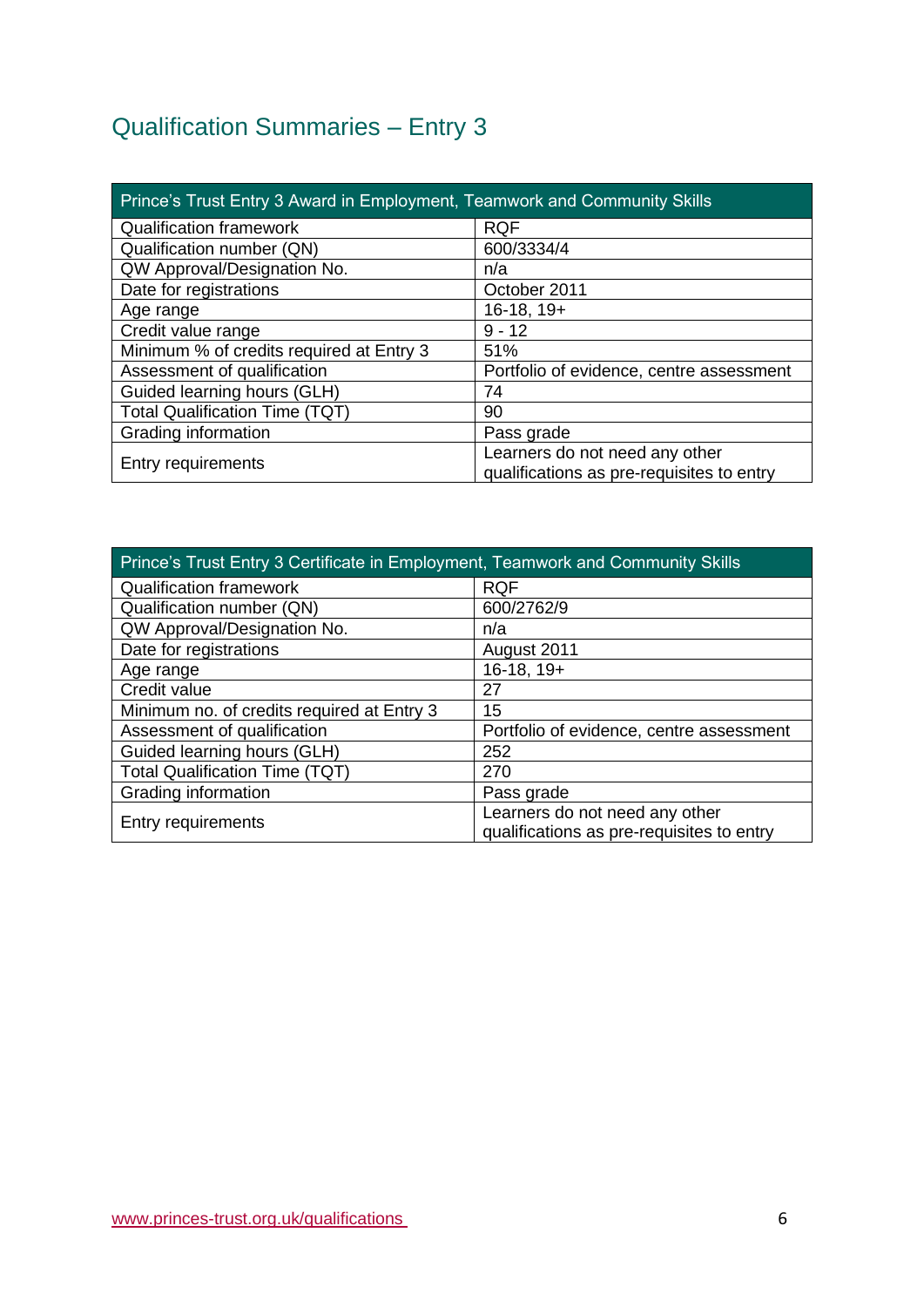# <span id="page-5-0"></span>Qualification Summaries – Entry 3

| Prince's Trust Entry 3 Award in Employment, Teamwork and Community Skills |                                                                             |  |  |
|---------------------------------------------------------------------------|-----------------------------------------------------------------------------|--|--|
| <b>Qualification framework</b>                                            | <b>RQF</b>                                                                  |  |  |
| Qualification number (QN)                                                 | 600/3334/4                                                                  |  |  |
| QW Approval/Designation No.                                               | n/a                                                                         |  |  |
| Date for registrations                                                    | October 2011                                                                |  |  |
| Age range                                                                 | $16-18, 19+$                                                                |  |  |
| Credit value range                                                        | $9 - 12$                                                                    |  |  |
| Minimum % of credits required at Entry 3                                  | 51%                                                                         |  |  |
| Assessment of qualification                                               | Portfolio of evidence, centre assessment                                    |  |  |
| Guided learning hours (GLH)                                               | 74                                                                          |  |  |
| <b>Total Qualification Time (TQT)</b>                                     | 90                                                                          |  |  |
| Grading information                                                       | Pass grade                                                                  |  |  |
| Entry requirements                                                        | Learners do not need any other<br>qualifications as pre-requisites to entry |  |  |

| Prince's Trust Entry 3 Certificate in Employment, Teamwork and Community Skills |                                           |  |
|---------------------------------------------------------------------------------|-------------------------------------------|--|
| <b>Qualification framework</b>                                                  | <b>RQF</b>                                |  |
| Qualification number (QN)                                                       | 600/2762/9                                |  |
| QW Approval/Designation No.                                                     | n/a                                       |  |
| Date for registrations                                                          | August 2011                               |  |
| Age range                                                                       | $16-18, 19+$                              |  |
| Credit value                                                                    | 27                                        |  |
| Minimum no. of credits required at Entry 3                                      | 15                                        |  |
| Assessment of qualification                                                     | Portfolio of evidence, centre assessment  |  |
| Guided learning hours (GLH)                                                     | 252                                       |  |
| <b>Total Qualification Time (TQT)</b>                                           | 270                                       |  |
| Grading information                                                             | Pass grade                                |  |
| <b>Entry requirements</b>                                                       | Learners do not need any other            |  |
|                                                                                 | qualifications as pre-requisites to entry |  |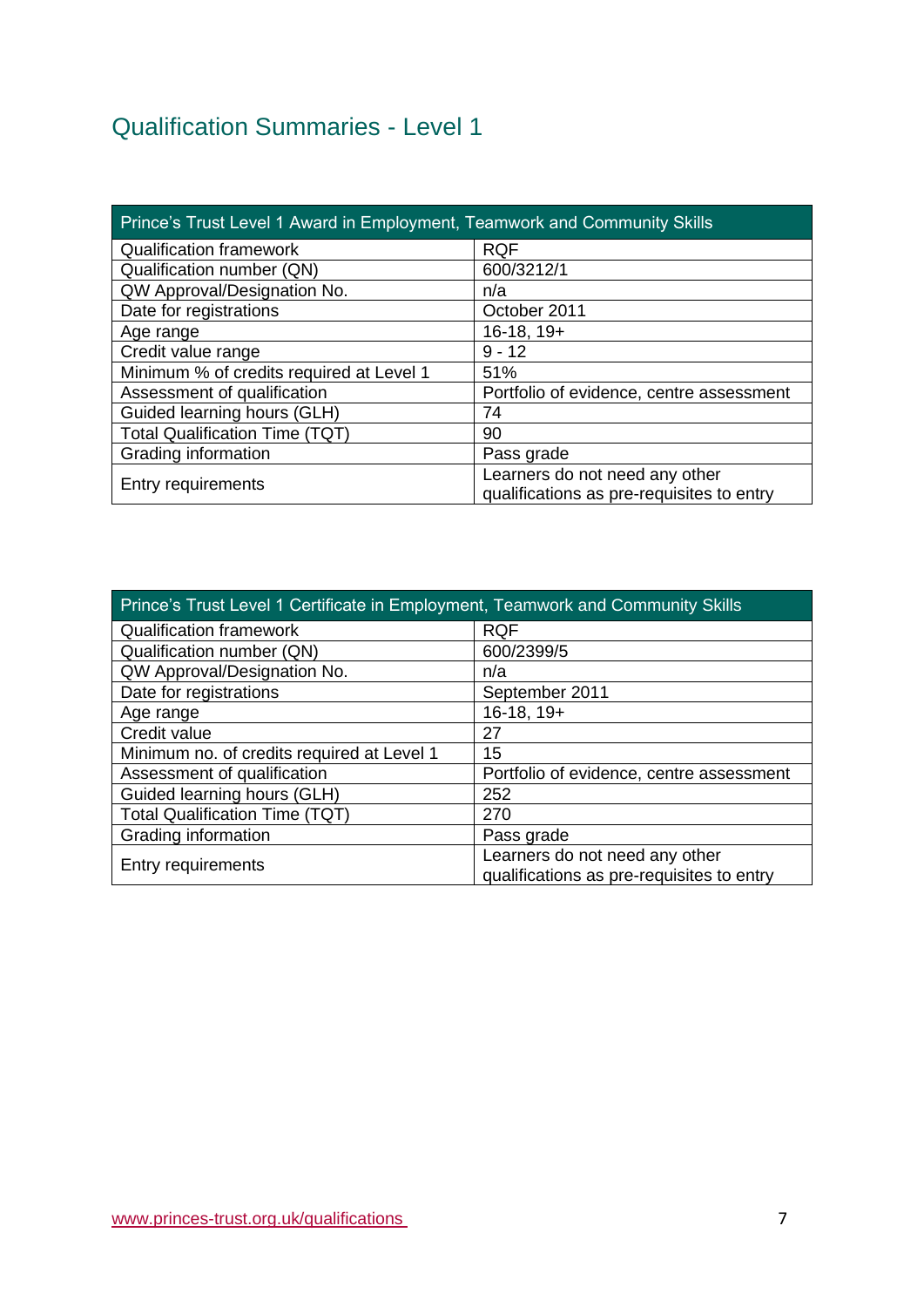# <span id="page-6-0"></span>Qualification Summaries - Level 1

| Prince's Trust Level 1 Award in Employment, Teamwork and Community Skills |                                                                             |  |  |
|---------------------------------------------------------------------------|-----------------------------------------------------------------------------|--|--|
| <b>Qualification framework</b>                                            | <b>RQF</b>                                                                  |  |  |
| Qualification number (QN)                                                 | 600/3212/1                                                                  |  |  |
| QW Approval/Designation No.                                               | n/a                                                                         |  |  |
| Date for registrations                                                    | October 2011                                                                |  |  |
| Age range                                                                 | $16-18, 19+$                                                                |  |  |
| Credit value range                                                        | $9 - 12$                                                                    |  |  |
| Minimum % of credits required at Level 1                                  | 51%                                                                         |  |  |
| Assessment of qualification                                               | Portfolio of evidence, centre assessment                                    |  |  |
| Guided learning hours (GLH)                                               | 74                                                                          |  |  |
| <b>Total Qualification Time (TQT)</b>                                     | 90                                                                          |  |  |
| Grading information                                                       | Pass grade                                                                  |  |  |
| <b>Entry requirements</b>                                                 | Learners do not need any other<br>qualifications as pre-requisites to entry |  |  |

| Prince's Trust Level 1 Certificate in Employment, Teamwork and Community Skills |                                                                             |  |
|---------------------------------------------------------------------------------|-----------------------------------------------------------------------------|--|
| <b>Qualification framework</b>                                                  | <b>RQF</b>                                                                  |  |
| Qualification number (QN)                                                       | 600/2399/5                                                                  |  |
| QW Approval/Designation No.                                                     | n/a                                                                         |  |
| Date for registrations                                                          | September 2011                                                              |  |
| Age range                                                                       | $16-18, 19+$                                                                |  |
| Credit value                                                                    | 27                                                                          |  |
| Minimum no. of credits required at Level 1                                      | 15                                                                          |  |
| Assessment of qualification                                                     | Portfolio of evidence, centre assessment                                    |  |
| Guided learning hours (GLH)                                                     | 252                                                                         |  |
| <b>Total Qualification Time (TQT)</b>                                           | 270                                                                         |  |
| Grading information                                                             | Pass grade                                                                  |  |
| Entry requirements                                                              | Learners do not need any other<br>qualifications as pre-requisites to entry |  |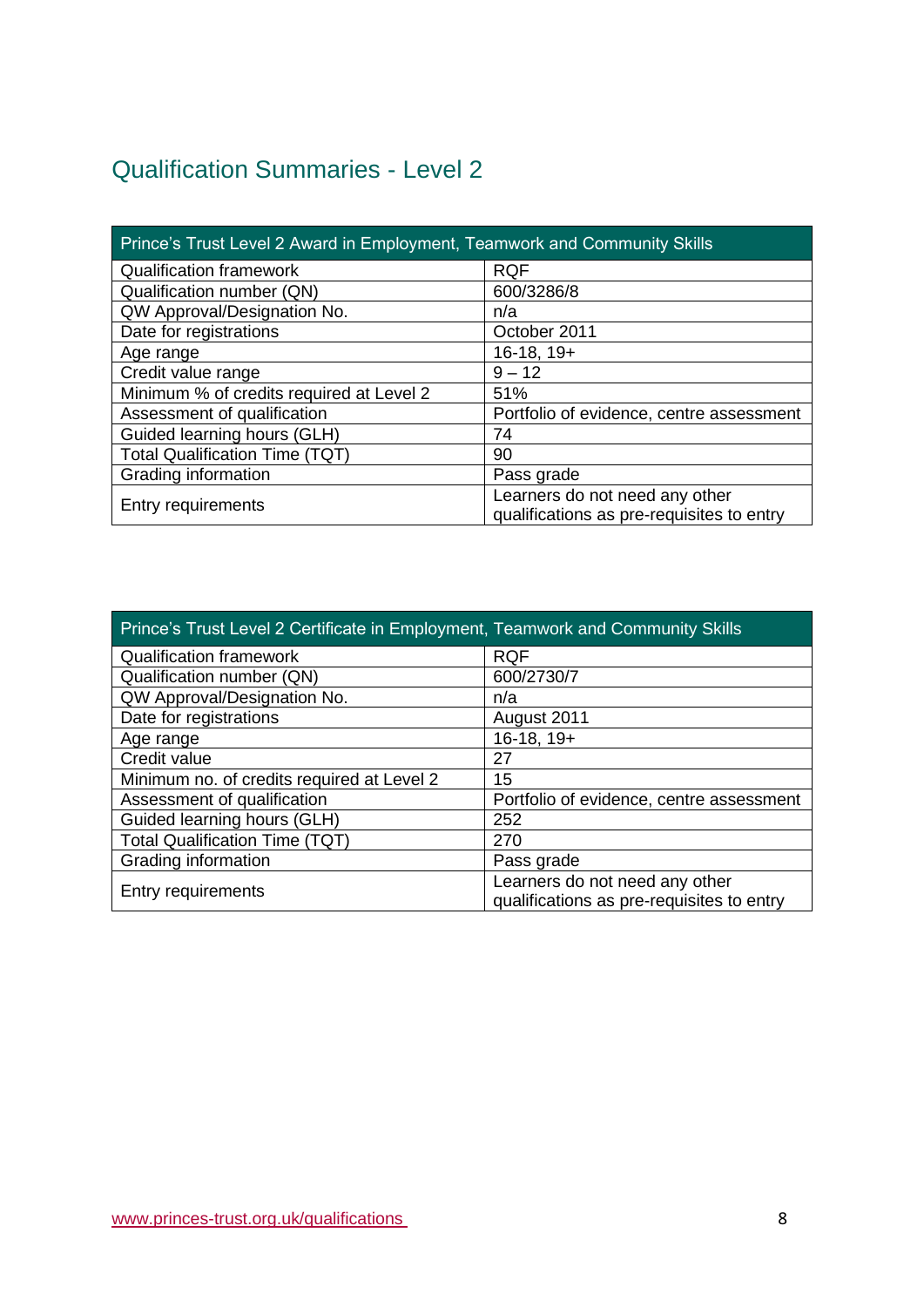# <span id="page-7-0"></span>Qualification Summaries - Level 2

| Prince's Trust Level 2 Award in Employment, Teamwork and Community Skills |                                                                             |  |  |
|---------------------------------------------------------------------------|-----------------------------------------------------------------------------|--|--|
| <b>Qualification framework</b>                                            | <b>RQF</b>                                                                  |  |  |
| Qualification number (QN)                                                 | 600/3286/8                                                                  |  |  |
| QW Approval/Designation No.                                               | n/a                                                                         |  |  |
| Date for registrations                                                    | October 2011                                                                |  |  |
| Age range                                                                 | $16-18, 19+$                                                                |  |  |
| Credit value range                                                        | $9 - 12$                                                                    |  |  |
| Minimum % of credits required at Level 2                                  | 51%                                                                         |  |  |
| Assessment of qualification                                               | Portfolio of evidence, centre assessment                                    |  |  |
| Guided learning hours (GLH)                                               | 74                                                                          |  |  |
| <b>Total Qualification Time (TQT)</b>                                     | 90                                                                          |  |  |
| Grading information                                                       | Pass grade                                                                  |  |  |
| Entry requirements                                                        | Learners do not need any other<br>qualifications as pre-requisites to entry |  |  |

| Prince's Trust Level 2 Certificate in Employment, Teamwork and Community Skills |                                                                             |  |
|---------------------------------------------------------------------------------|-----------------------------------------------------------------------------|--|
| <b>Qualification framework</b>                                                  | <b>RQF</b>                                                                  |  |
| Qualification number (QN)                                                       | 600/2730/7                                                                  |  |
| QW Approval/Designation No.                                                     | n/a                                                                         |  |
| Date for registrations                                                          | August 2011                                                                 |  |
| Age range                                                                       | $16-18, 19+$                                                                |  |
| Credit value                                                                    | 27                                                                          |  |
| Minimum no. of credits required at Level 2                                      | 15                                                                          |  |
| Assessment of qualification                                                     | Portfolio of evidence, centre assessment                                    |  |
| Guided learning hours (GLH)                                                     | 252                                                                         |  |
| <b>Total Qualification Time (TQT)</b>                                           | 270                                                                         |  |
| Grading information                                                             | Pass grade                                                                  |  |
| <b>Entry requirements</b>                                                       | Learners do not need any other<br>qualifications as pre-requisites to entry |  |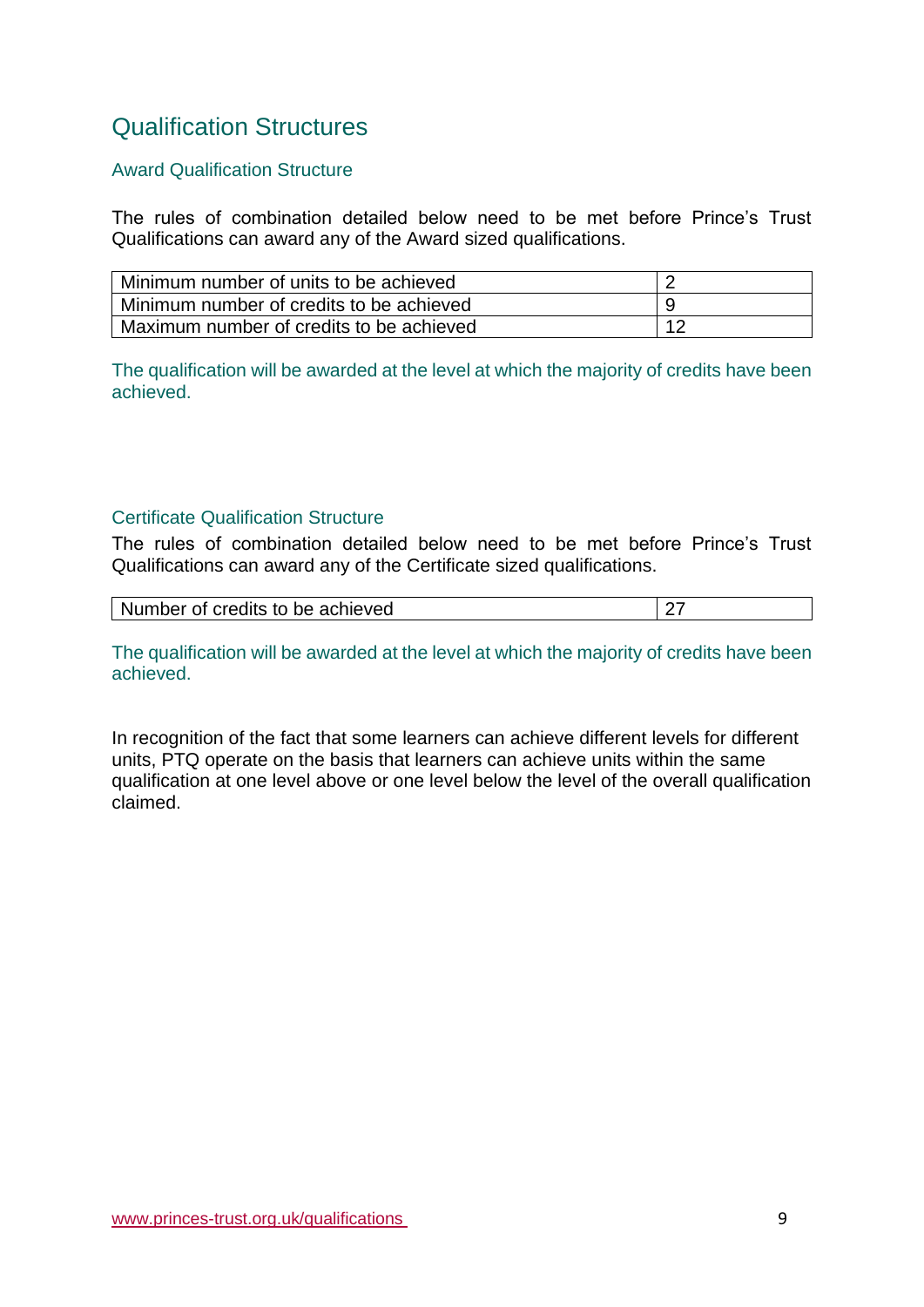# <span id="page-8-0"></span>Qualification Structures

### <span id="page-8-1"></span>Award Qualification Structure

The rules of combination detailed below need to be met before Prince's Trust Qualifications can award any of the Award sized qualifications.

| Minimum number of units to be achieved   |     |
|------------------------------------------|-----|
| Minimum number of credits to be achieved |     |
| Maximum number of credits to be achieved | 1 O |

The qualification will be awarded at the level at which the majority of credits have been achieved.

### <span id="page-8-2"></span>Certificate Qualification Structure

The rules of combination detailed below need to be met before Prince's Trust Qualifications can award any of the Certificate sized qualifications.

| Number of credits to be achieved |  |
|----------------------------------|--|
|----------------------------------|--|

The qualification will be awarded at the level at which the majority of credits have been achieved.

In recognition of the fact that some learners can achieve different levels for different units, PTQ operate on the basis that learners can achieve units within the same qualification at one level above or one level below the level of the overall qualification claimed.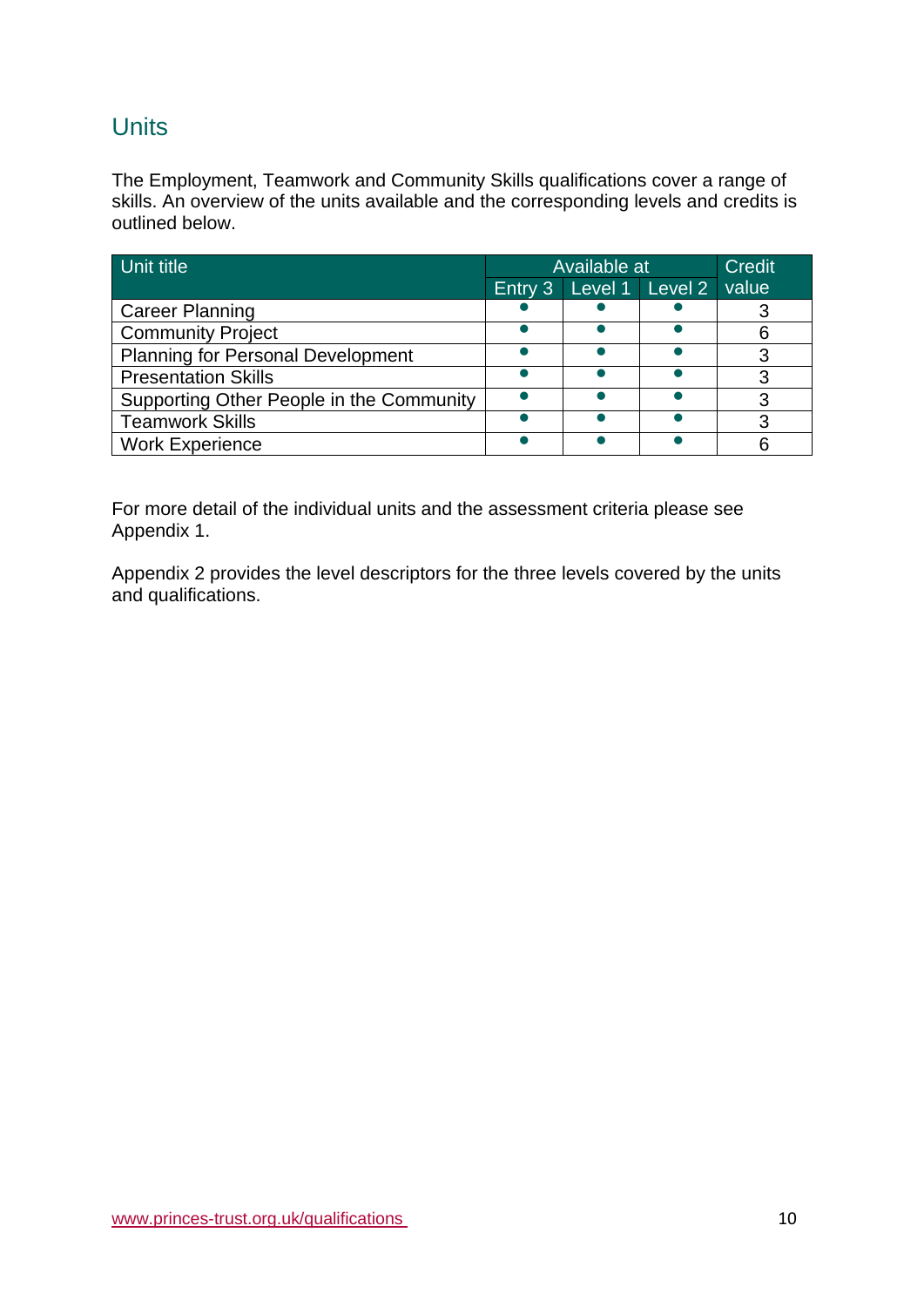## **Units**

The Employment, Teamwork and Community Skills qualifications cover a range of skills. An overview of the units available and the corresponding levels and credits is outlined below.

| Unit title                               | Available at |  | <b>Credit</b>           |       |
|------------------------------------------|--------------|--|-------------------------|-------|
|                                          |              |  | Entry 3 Level 1 Level 2 | value |
| <b>Career Planning</b>                   |              |  |                         |       |
| <b>Community Project</b>                 |              |  |                         |       |
| <b>Planning for Personal Development</b> |              |  |                         |       |
| <b>Presentation Skills</b>               |              |  |                         |       |
| Supporting Other People in the Community |              |  |                         |       |
| <b>Teamwork Skills</b>                   |              |  |                         |       |
| <b>Work Experience</b>                   |              |  |                         |       |

For more detail of the individual units and the assessment criteria please see Appendix 1.

Appendix 2 provides the level descriptors for the three levels covered by the units and qualifications.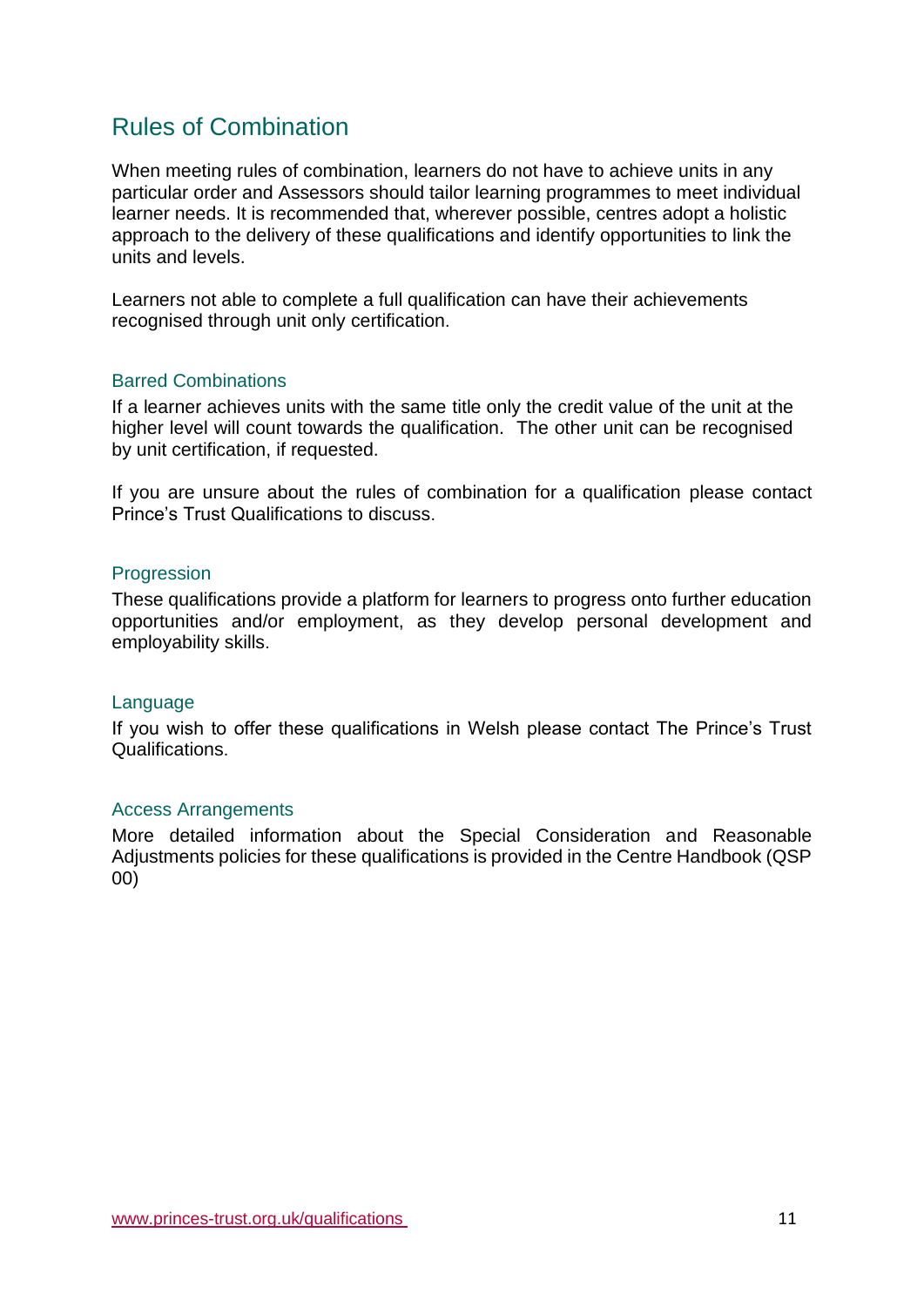# <span id="page-10-0"></span>Rules of Combination

When meeting rules of combination, learners do not have to achieve units in any particular order and Assessors should tailor learning programmes to meet individual learner needs. It is recommended that, wherever possible, centres adopt a holistic approach to the delivery of these qualifications and identify opportunities to link the units and levels.

Learners not able to complete a full qualification can have their achievements recognised through unit only certification.

#### <span id="page-10-1"></span>Barred Combinations

If a learner achieves units with the same title only the credit value of the unit at the higher level will count towards the qualification. The other unit can be recognised by unit certification, if requested.

If you are unsure about the rules of combination for a qualification please contact Prince's Trust Qualifications to discuss.

#### <span id="page-10-2"></span>**Progression**

These qualifications provide a platform for learners to progress onto further education opportunities and/or employment, as they develop personal development and employability skills.

#### <span id="page-10-3"></span>Language

If you wish to offer these qualifications in Welsh please contact The Prince's Trust Qualifications.

#### <span id="page-10-4"></span>Access Arrangements

More detailed information about the Special Consideration and Reasonable Adjustments policies for these qualifications is provided in the Centre Handbook (QSP 00)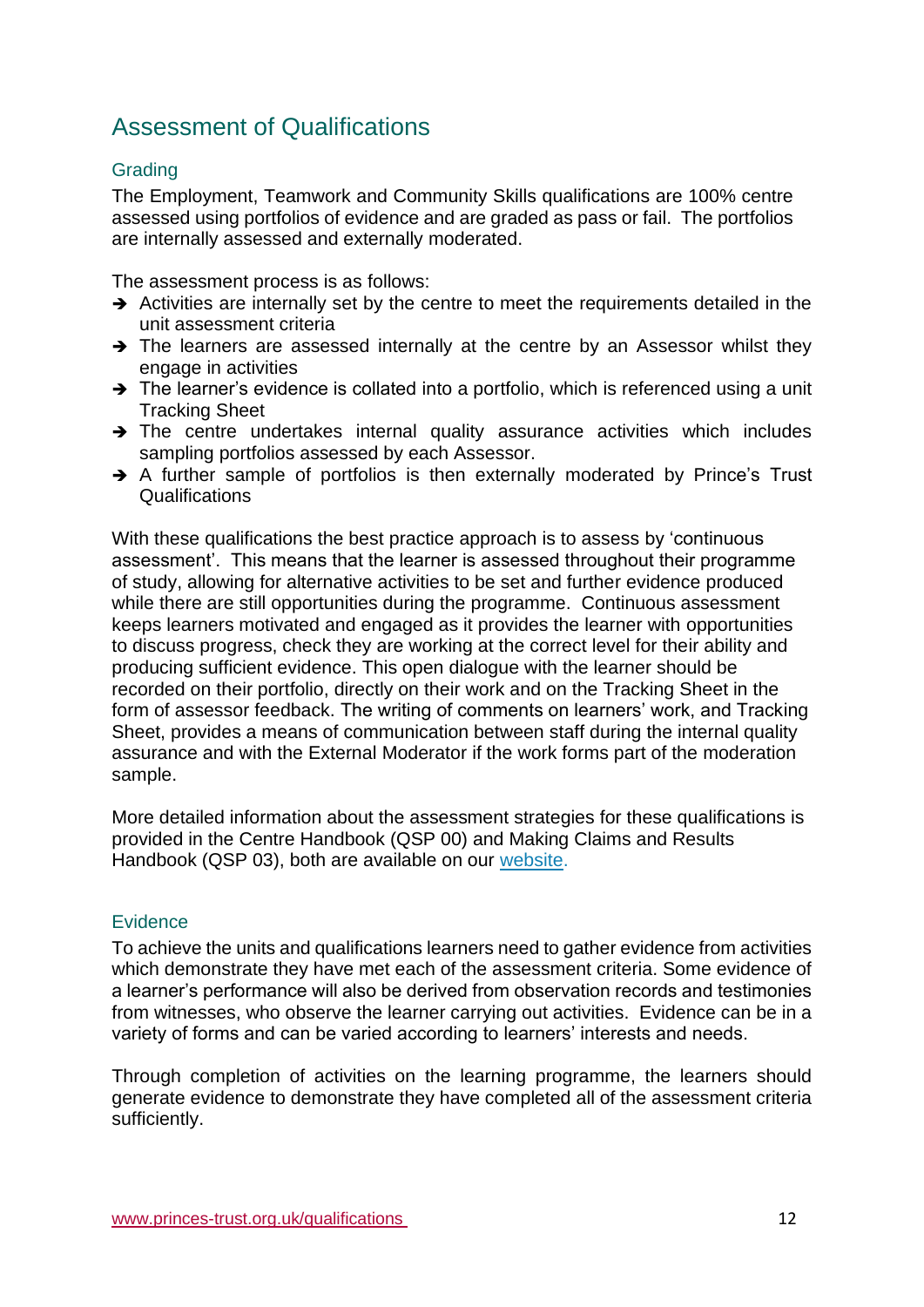# <span id="page-11-0"></span>Assessment of Qualifications

### <span id="page-11-1"></span>**Grading**

The Employment, Teamwork and Community Skills qualifications are 100% centre assessed using portfolios of evidence and are graded as pass or fail. The portfolios are internally assessed and externally moderated.

The assessment process is as follows:

- → Activities are internally set by the centre to meet the requirements detailed in the unit assessment criteria
- → The learners are assessed internally at the centre by an Assessor whilst they engage in activities
- ➔ The learner's evidence is collated into a portfolio, which is referenced using a unit Tracking Sheet
- ➔ The centre undertakes internal quality assurance activities which includes sampling portfolios assessed by each Assessor.
- ➔ A further sample of portfolios is then externally moderated by Prince's Trust **Qualifications**

With these qualifications the best practice approach is to assess by 'continuous assessment'. This means that the learner is assessed throughout their programme of study, allowing for alternative activities to be set and further evidence produced while there are still opportunities during the programme. Continuous assessment keeps learners motivated and engaged as it provides the learner with opportunities to discuss progress, check they are working at the correct level for their ability and producing sufficient evidence. This open dialogue with the learner should be recorded on their portfolio, directly on their work and on the Tracking Sheet in the form of assessor feedback. The writing of comments on learners' work, and Tracking Sheet, provides a means of communication between staff during the internal quality assurance and with the External Moderator if the work forms part of the moderation sample.

More detailed information about the assessment strategies for these qualifications is provided in the Centre Handbook (QSP 00) and Making Claims and Results Handbook (QSP 03), both are available on our [website.](https://www.princes-trust.org.uk/about-the-trust/qualifications/guidance-for-centres)

### <span id="page-11-2"></span>**Evidence**

To achieve the units and qualifications learners need to gather evidence from activities which demonstrate they have met each of the assessment criteria. Some evidence of a learner's performance will also be derived from observation records and testimonies from witnesses, who observe the learner carrying out activities. Evidence can be in a variety of forms and can be varied according to learners' interests and needs.

Through completion of activities on the learning programme, the learners should generate evidence to demonstrate they have completed all of the assessment criteria sufficiently.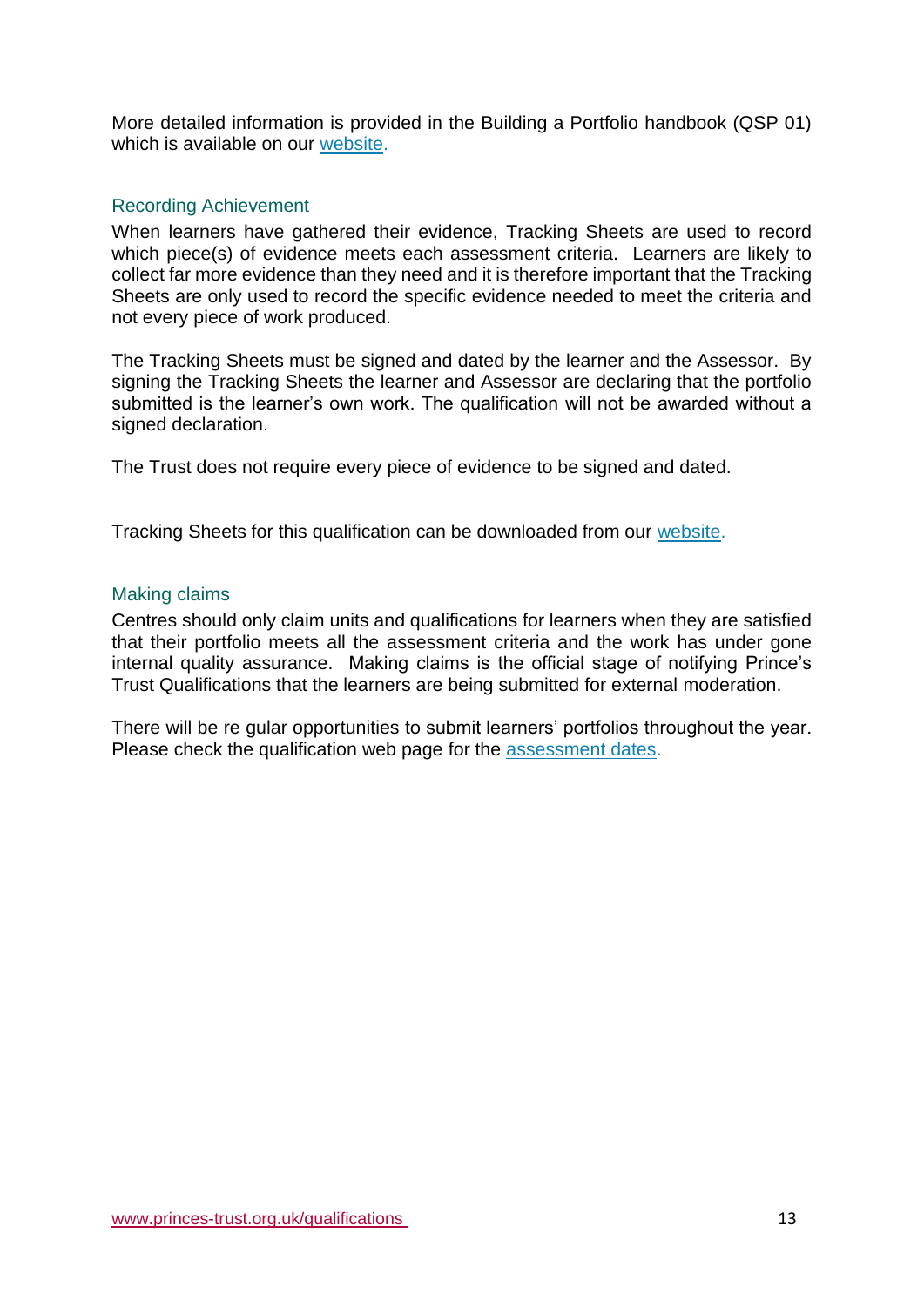More detailed information is provided in the Building a Portfolio handbook (QSP 01) which is available on our [website.](https://www.princes-trust.org.uk/about-the-trust/qualifications/guidance-for-centres)

### <span id="page-12-0"></span>Recording Achievement

When learners have gathered their evidence, Tracking Sheets are used to record which piece(s) of evidence meets each assessment criteria. Learners are likely to collect far more evidence than they need and it is therefore important that the Tracking Sheets are only used to record the specific evidence needed to meet the criteria and not every piece of work produced.

The Tracking Sheets must be signed and dated by the learner and the Assessor. By signing the Tracking Sheets the learner and Assessor are declaring that the portfolio submitted is the learner's own work. The qualification will not be awarded without a signed declaration.

The Trust does not require every piece of evidence to be signed and dated.

Tracking Sheets for this qualification can be downloaded from our [website.](https://www.princes-trust.org.uk/about-the-trust/qualifications/employment-teamwork-community)

#### <span id="page-12-1"></span>Making claims

Centres should only claim units and qualifications for learners when they are satisfied that their portfolio meets all the assessment criteria and the work has under gone internal quality assurance. Making claims is the official stage of notifying Prince's Trust Qualifications that the learners are being submitted for external moderation.

There will be re gular opportunities to submit learners' portfolios throughout the year. Please check the qualification web page for the [assessment dates.](https://www.princes-trust.org.uk/about-the-trust/qualifications/employment-teamwork-community)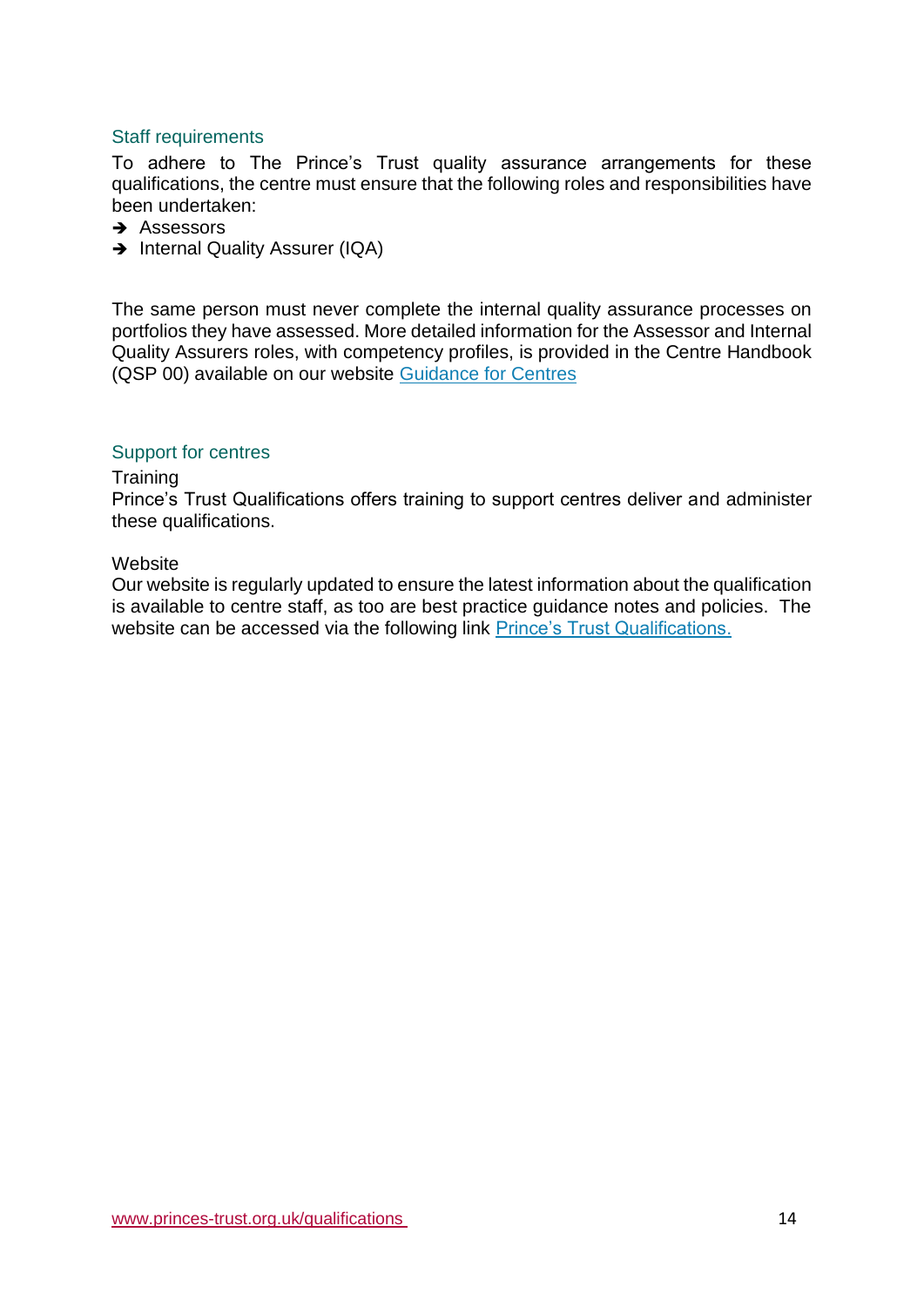### <span id="page-13-0"></span>Staff requirements

To adhere to The Prince's Trust quality assurance arrangements for these qualifications, the centre must ensure that the following roles and responsibilities have been undertaken:

- **→** Assessors
- → Internal Quality Assurer (IQA)

The same person must never complete the internal quality assurance processes on portfolios they have assessed. More detailed information for the Assessor and Internal Quality Assurers roles, with competency profiles, is provided in the Centre Handbook (QSP 00) available on our website [Guidance for Centres](https://www.princes-trust.org.uk/about-the-trust/qualifications/guidance-for-centres)

### <span id="page-13-1"></span>Support for centres

#### **Training**

Prince's Trust Qualifications offers training to support centres deliver and administer these qualifications.

#### **Website**

Our website is regularly updated to ensure the latest information about the qualification is available to centre staff, as too are best practice guidance notes and policies. The website can be accessed via the following link [Prince's Trust Qualifications.](https://www.princes-trust.org.uk/about-the-trust/qualifications/employment-teamwork-community)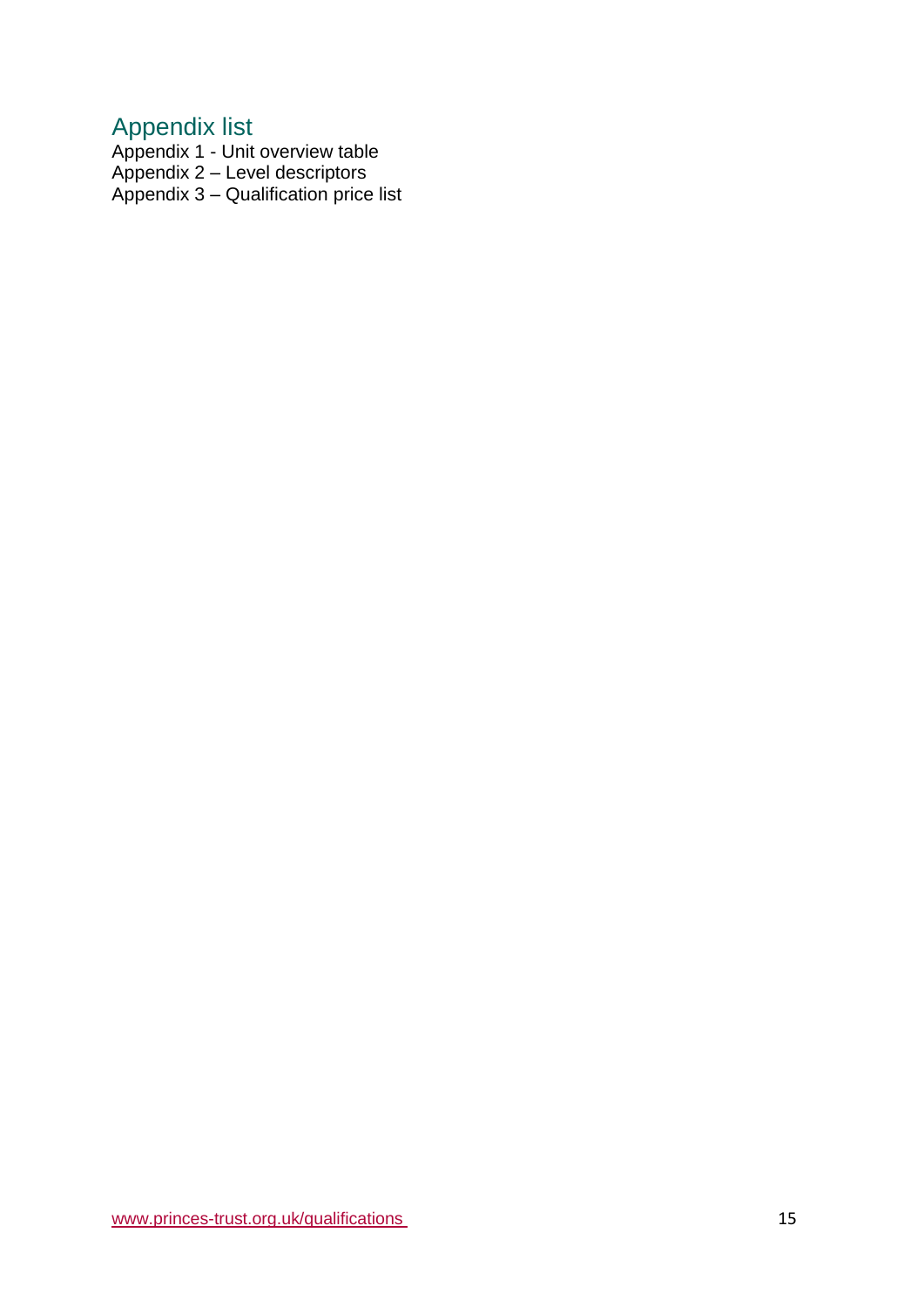# <span id="page-14-0"></span>Appendix list

Appendix 1 - Unit overview table

Appendix 2 – Level descriptors

Appendix 3 – Qualification price list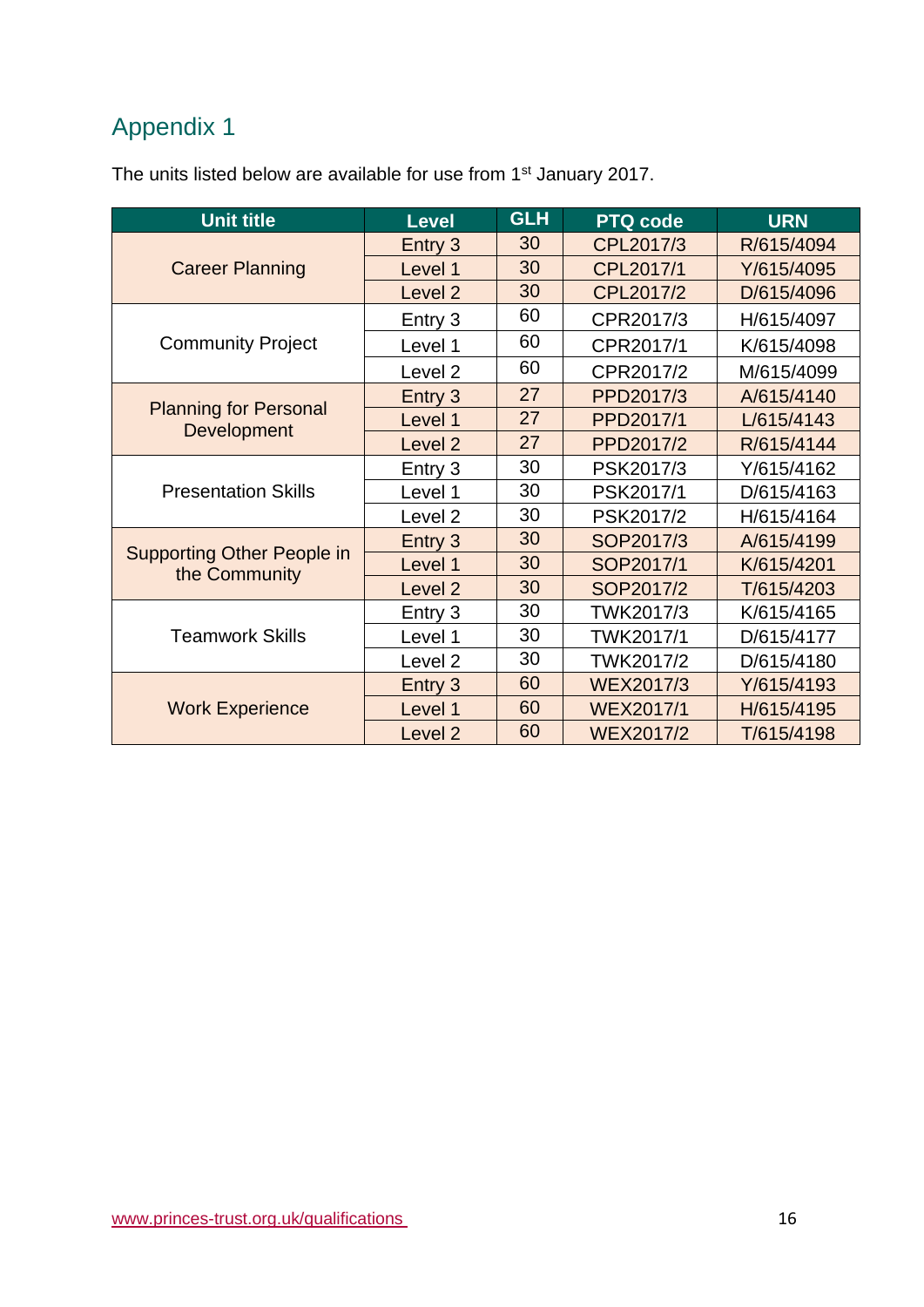# <span id="page-15-0"></span>Appendix 1

The units listed below are available for use from 1<sup>st</sup> January 2017.

| <b>Unit title</b>                                  | <b>Level</b>       | <b>GLH</b> | <b>PTQ code</b>  | <b>URN</b> |
|----------------------------------------------------|--------------------|------------|------------------|------------|
|                                                    | Entry 3            | 30         | CPL2017/3        | R/615/4094 |
| <b>Career Planning</b>                             | Level 1            | 30         | CPL2017/1        | Y/615/4095 |
|                                                    | Level <sub>2</sub> | 30         | CPL2017/2        | D/615/4096 |
|                                                    | Entry 3            | 60         | CPR2017/3        | H/615/4097 |
| <b>Community Project</b>                           | Level 1            | 60         | CPR2017/1        | K/615/4098 |
|                                                    | Level <sub>2</sub> | 60         | CPR2017/2        | M/615/4099 |
|                                                    | Entry 3            | 27         | PPD2017/3        | A/615/4140 |
| <b>Planning for Personal</b><br>Development        | Level 1            | 27         | PPD2017/1        | L/615/4143 |
|                                                    | Level <sub>2</sub> | 27         | PPD2017/2        | R/615/4144 |
|                                                    | Entry 3            | 30         | PSK2017/3        | Y/615/4162 |
| <b>Presentation Skills</b>                         | Level 1            | 30         | PSK2017/1        | D/615/4163 |
|                                                    | Level 2            | 30         | PSK2017/2        | H/615/4164 |
|                                                    | Entry 3            | 30         | SOP2017/3        | A/615/4199 |
| <b>Supporting Other People in</b><br>the Community | Level 1            | 30         | SOP2017/1        | K/615/4201 |
|                                                    | Level <sub>2</sub> | 30         | SOP2017/2        | T/615/4203 |
|                                                    | Entry 3            | 30         | TWK2017/3        | K/615/4165 |
| <b>Teamwork Skills</b>                             | Level 1            | 30         | TWK2017/1        | D/615/4177 |
|                                                    | Level <sub>2</sub> | 30         | TWK2017/2        | D/615/4180 |
|                                                    | Entry 3            | 60         | <b>WEX2017/3</b> | Y/615/4193 |
| <b>Work Experience</b>                             | Level 1            | 60         | <b>WEX2017/1</b> | H/615/4195 |
|                                                    | Level <sub>2</sub> | 60         | <b>WEX2017/2</b> | T/615/4198 |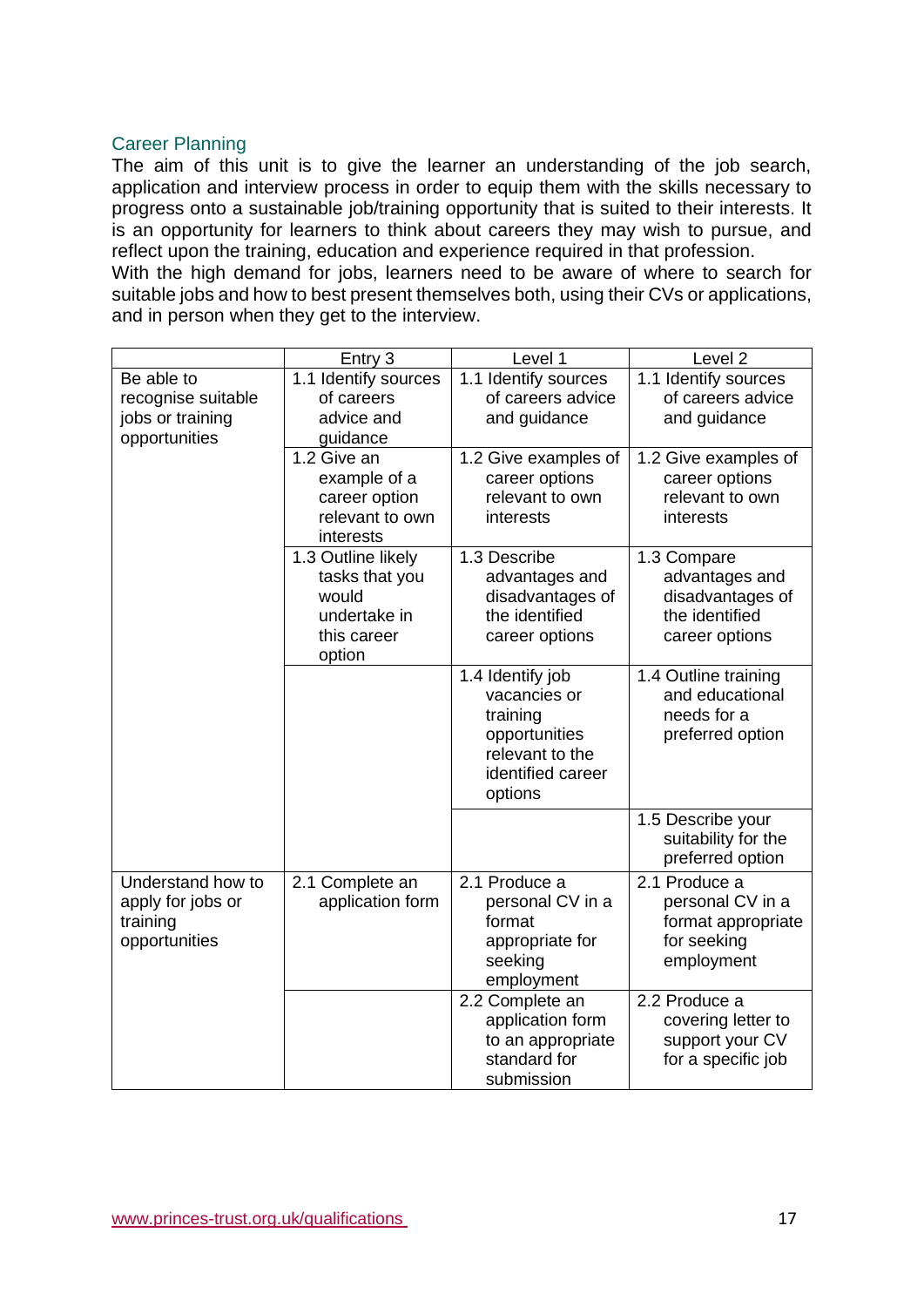#### Career Planning

The aim of this unit is to give the learner an understanding of the job search, application and interview process in order to equip them with the skills necessary to progress onto a sustainable job/training opportunity that is suited to their interests. It is an opportunity for learners to think about careers they may wish to pursue, and reflect upon the training, education and experience required in that profession. With the high demand for jobs, learners need to be aware of where to search for suitable jobs and how to best present themselves both, using their CVs or applications, and in person when they get to the interview.

|  |                    | Entry 3              | Level 1                          | Level <sub>2</sub>                      |
|--|--------------------|----------------------|----------------------------------|-----------------------------------------|
|  | Be able to         | 1.1 Identify sources | 1.1 Identify sources             | 1.1 Identify sources                    |
|  | recognise suitable | of careers           | of careers advice                | of careers advice                       |
|  | jobs or training   | advice and           | and guidance                     | and guidance                            |
|  | opportunities      | guidance             |                                  |                                         |
|  |                    | 1.2 Give an          | 1.2 Give examples of             | 1.2 Give examples of                    |
|  |                    | example of a         | career options                   | career options                          |
|  |                    | career option        | relevant to own                  | relevant to own                         |
|  |                    | relevant to own      | interests                        | interests                               |
|  |                    | interests            |                                  |                                         |
|  |                    | 1.3 Outline likely   | 1.3 Describe                     | 1.3 Compare                             |
|  |                    | tasks that you       | advantages and                   | advantages and                          |
|  |                    | would                | disadvantages of                 | disadvantages of                        |
|  |                    | undertake in         | the identified                   | the identified                          |
|  |                    | this career          | career options                   | career options                          |
|  |                    | option               |                                  |                                         |
|  |                    |                      | 1.4 Identify job                 | 1.4 Outline training                    |
|  |                    |                      | vacancies or                     | and educational                         |
|  |                    |                      | training                         | needs for a<br>preferred option         |
|  |                    |                      | opportunities<br>relevant to the |                                         |
|  |                    |                      | identified career                |                                         |
|  |                    |                      | options                          |                                         |
|  |                    |                      |                                  |                                         |
|  |                    |                      |                                  | 1.5 Describe your                       |
|  |                    |                      |                                  | suitability for the<br>preferred option |
|  |                    |                      |                                  |                                         |
|  | Understand how to  | 2.1 Complete an      | 2.1 Produce a                    | 2.1 Produce a                           |
|  | apply for jobs or  | application form     | personal CV in a<br>format       | personal CV in a                        |
|  | training           |                      |                                  | format appropriate                      |
|  | opportunities      |                      | appropriate for                  | for seeking                             |
|  |                    |                      | seeking                          | employment                              |
|  |                    |                      | employment<br>2.2 Complete an    | 2.2 Produce a                           |
|  |                    |                      | application form                 | covering letter to                      |
|  |                    |                      | to an appropriate                | support your CV                         |
|  |                    |                      | standard for                     | for a specific job                      |
|  |                    |                      | submission                       |                                         |
|  |                    |                      |                                  |                                         |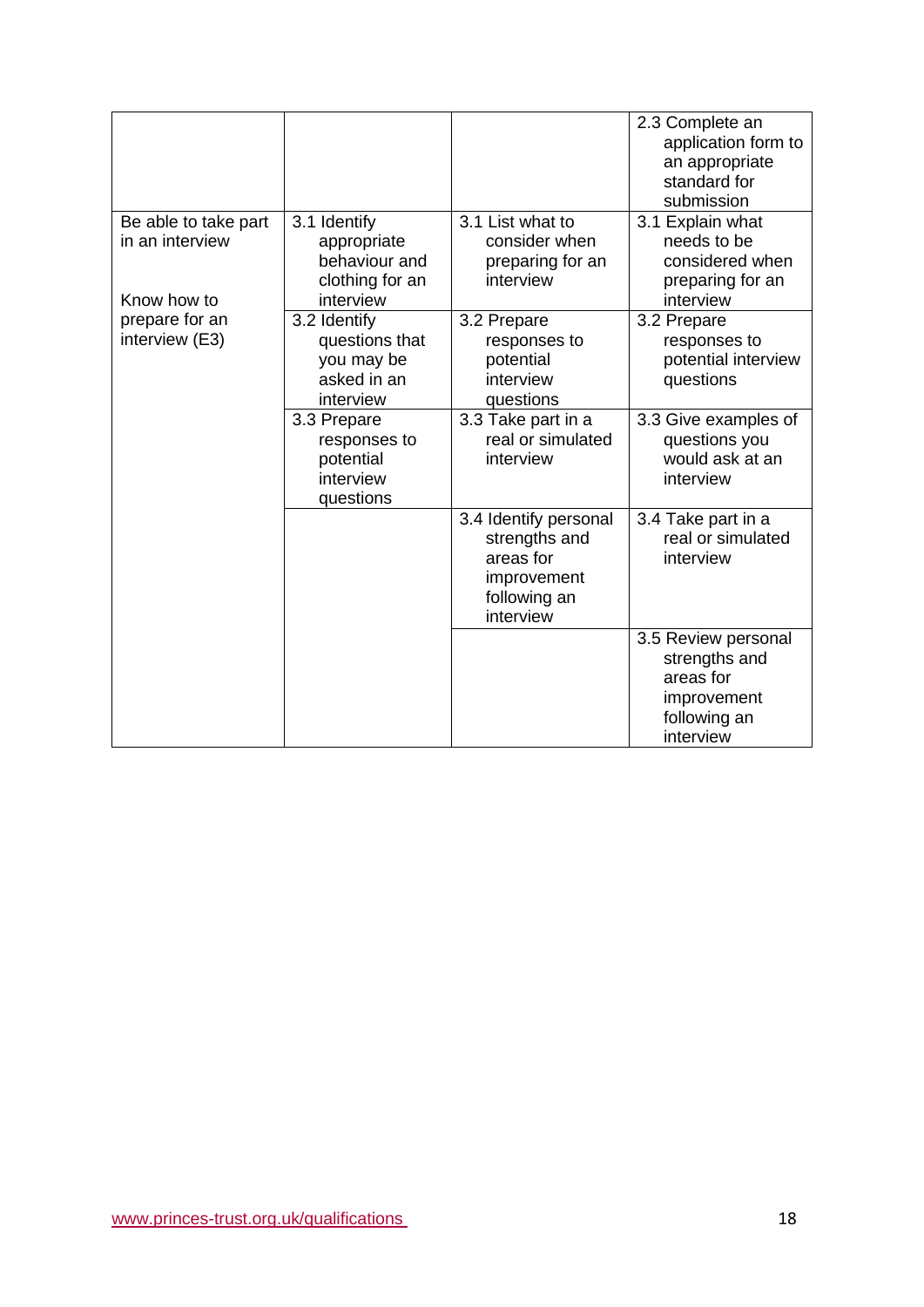|                      |                        |                                         | 2.3 Complete an                         |
|----------------------|------------------------|-----------------------------------------|-----------------------------------------|
|                      |                        |                                         | application form to                     |
|                      |                        |                                         | an appropriate                          |
|                      |                        |                                         | standard for                            |
|                      |                        |                                         | submission                              |
| Be able to take part | 3.1 Identify           | 3.1 List what to                        | 3.1 Explain what                        |
| in an interview      | appropriate            | consider when                           | needs to be                             |
|                      | behaviour and          | preparing for an                        | considered when                         |
|                      | clothing for an        | interview                               | preparing for an                        |
| Know how to          | interview              |                                         | interview                               |
| prepare for an       | 3.2 Identify           | 3.2 Prepare                             | 3.2 Prepare                             |
| interview (E3)       | questions that         | responses to                            | responses to                            |
|                      | you may be             | potential                               | potential interview                     |
|                      | asked in an            | interview                               | questions                               |
|                      | interview              | questions                               |                                         |
|                      | 3.3 Prepare            | 3.3 Take part in a<br>real or simulated | 3.3 Give examples of                    |
|                      | responses to           |                                         | questions you<br>would ask at an        |
|                      | potential<br>interview | interview                               |                                         |
|                      |                        |                                         | interview                               |
|                      | questions              |                                         |                                         |
|                      |                        | 3.4 Identify personal<br>strengths and  | 3.4 Take part in a<br>real or simulated |
|                      |                        | areas for                               | interview                               |
|                      |                        | improvement                             |                                         |
|                      |                        | following an                            |                                         |
|                      |                        | interview                               |                                         |
|                      |                        |                                         | 3.5 Review personal                     |
|                      |                        |                                         | strengths and                           |
|                      |                        |                                         | areas for                               |
|                      |                        |                                         | improvement                             |
|                      |                        |                                         | following an                            |
|                      |                        |                                         | interview                               |
|                      |                        |                                         |                                         |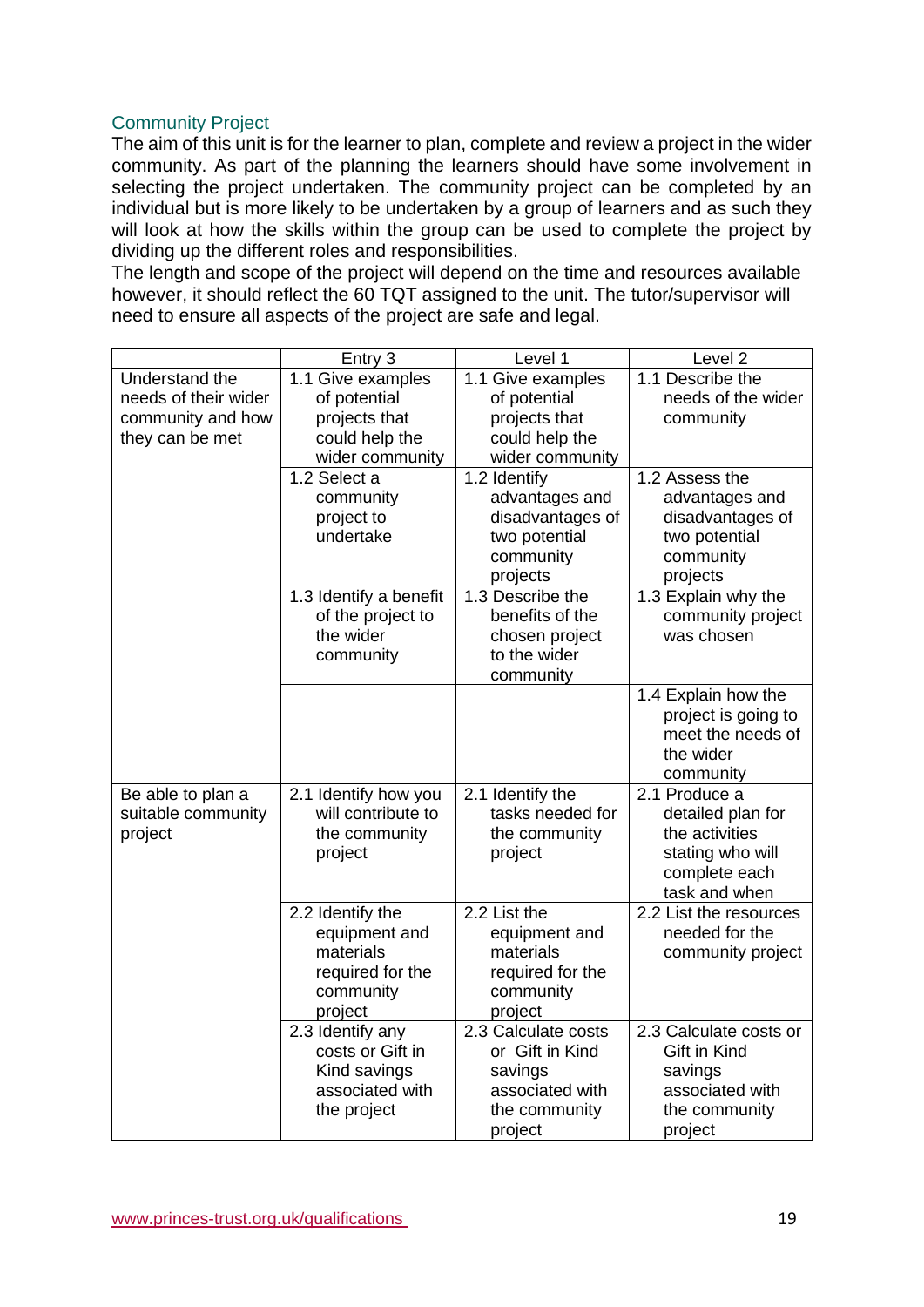### Community Project

The aim of this unit is for the learner to plan, complete and review a project in the wider community. As part of the planning the learners should have some involvement in selecting the project undertaken. The community project can be completed by an individual but is more likely to be undertaken by a group of learners and as such they will look at how the skills within the group can be used to complete the project by dividing up the different roles and responsibilities.

The length and scope of the project will depend on the time and resources available however, it should reflect the 60 TQT assigned to the unit. The tutor/supervisor will need to ensure all aspects of the project are safe and legal.

|                                                                                | Entry 3                                                                                    | Level 1                                                                                                         | Level <sub>2</sub>                                                                                         |
|--------------------------------------------------------------------------------|--------------------------------------------------------------------------------------------|-----------------------------------------------------------------------------------------------------------------|------------------------------------------------------------------------------------------------------------|
| Understand the<br>needs of their wider<br>community and how<br>they can be met | 1.1 Give examples<br>of potential<br>projects that<br>could help the                       | 1.1 Give examples<br>of potential<br>projects that<br>could help the                                            | 1.1 Describe the<br>needs of the wider<br>community                                                        |
|                                                                                | wider community<br>1.2 Select a<br>community<br>project to<br>undertake                    | wider community<br>1.2 Identify<br>advantages and<br>disadvantages of<br>two potential<br>community<br>projects | 1.2 Assess the<br>advantages and<br>disadvantages of<br>two potential<br>community<br>projects             |
|                                                                                | 1.3 Identify a benefit<br>of the project to<br>the wider<br>community                      | 1.3 Describe the<br>benefits of the<br>chosen project<br>to the wider<br>community                              | 1.3 Explain why the<br>community project<br>was chosen                                                     |
|                                                                                |                                                                                            |                                                                                                                 | 1.4 Explain how the<br>project is going to<br>meet the needs of<br>the wider<br>community                  |
| Be able to plan a<br>suitable community<br>project                             | 2.1 Identify how you<br>will contribute to<br>the community<br>project                     | 2.1 Identify the<br>tasks needed for<br>the community<br>project                                                | 2.1 Produce a<br>detailed plan for<br>the activities<br>stating who will<br>complete each<br>task and when |
|                                                                                | 2.2 Identify the<br>equipment and<br>materials<br>required for the<br>community<br>project | 2.2 List the<br>equipment and<br>materials<br>required for the<br>community<br>project                          | 2.2 List the resources<br>needed for the<br>community project                                              |
|                                                                                | 2.3 Identify any<br>costs or Gift in<br>Kind savings<br>associated with<br>the project     | 2.3 Calculate costs<br>or Gift in Kind<br>savings<br>associated with<br>the community<br>project                | 2.3 Calculate costs or<br>Gift in Kind<br>savings<br>associated with<br>the community<br>project           |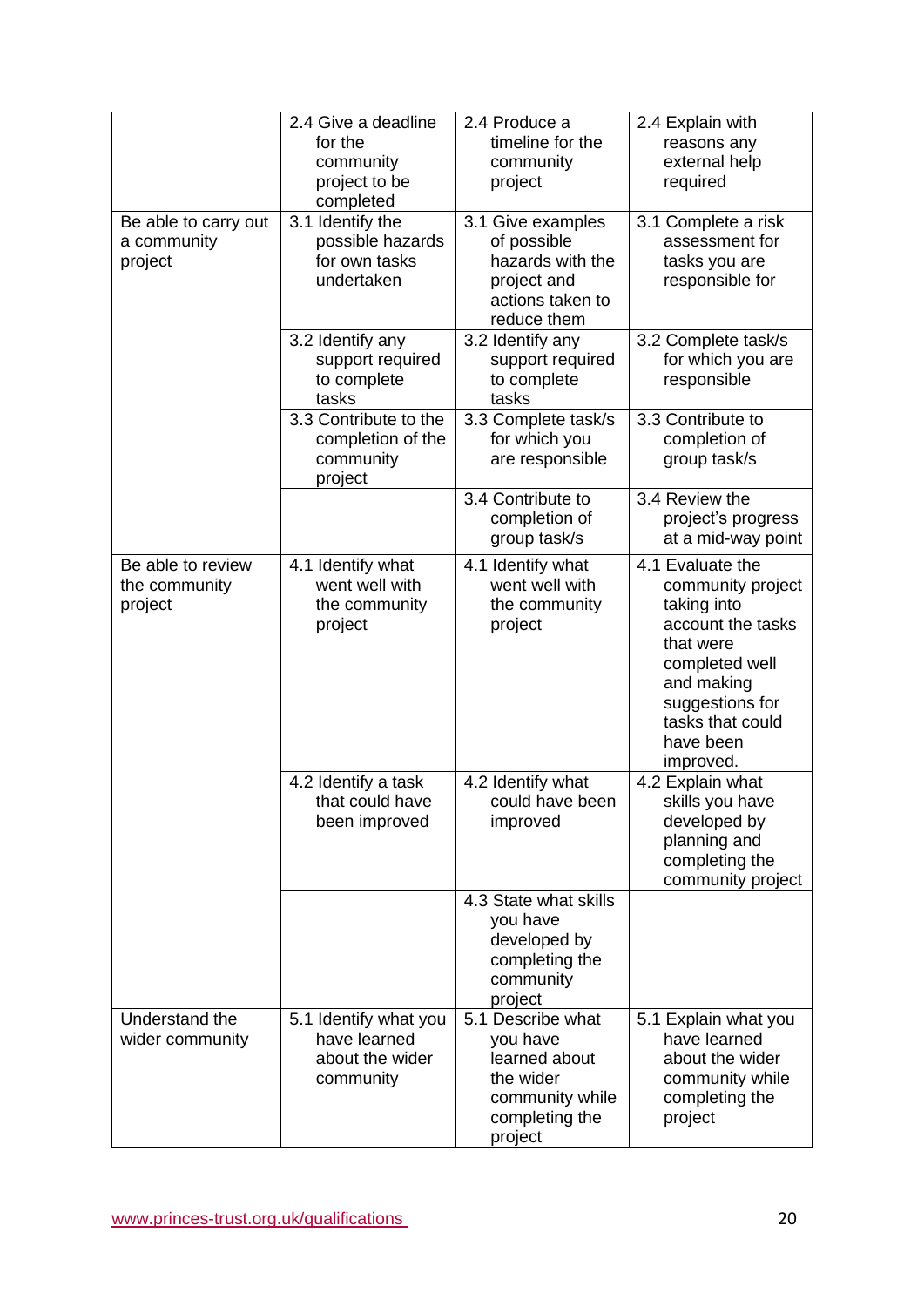|                                                | 2.4 Give a deadline<br>for the<br>community<br>project to be<br>completed | 2.4 Produce a<br>timeline for the<br>community<br>project                                                   | 2.4 Explain with<br>reasons any<br>external help<br>required                                                                                                                            |
|------------------------------------------------|---------------------------------------------------------------------------|-------------------------------------------------------------------------------------------------------------|-----------------------------------------------------------------------------------------------------------------------------------------------------------------------------------------|
| Be able to carry out<br>a community<br>project | 3.1 Identify the<br>possible hazards<br>for own tasks<br>undertaken       | 3.1 Give examples<br>of possible<br>hazards with the<br>project and<br>actions taken to<br>reduce them      | 3.1 Complete a risk<br>assessment for<br>tasks you are<br>responsible for                                                                                                               |
|                                                | 3.2 Identify any<br>support required<br>to complete<br>tasks              | 3.2 Identify any<br>support required<br>to complete<br>tasks                                                | 3.2 Complete task/s<br>for which you are<br>responsible                                                                                                                                 |
|                                                | 3.3 Contribute to the<br>completion of the<br>community<br>project        | 3.3 Complete task/s<br>for which you<br>are responsible                                                     | 3.3 Contribute to<br>completion of<br>group task/s                                                                                                                                      |
|                                                |                                                                           | 3.4 Contribute to<br>completion of<br>group task/s                                                          | 3.4 Review the<br>project's progress<br>at a mid-way point                                                                                                                              |
| Be able to review<br>the community<br>project  | 4.1 Identify what<br>went well with<br>the community<br>project           | 4.1 Identify what<br>went well with<br>the community<br>project                                             | 4.1 Evaluate the<br>community project<br>taking into<br>account the tasks<br>that were<br>completed well<br>and making<br>suggestions for<br>tasks that could<br>have been<br>improved. |
|                                                | 4.2 Identify a task<br>that could have<br>been improved                   | 4.2 Identify what<br>could have been<br>improved                                                            | 4.2 Explain what<br>skills you have<br>developed by<br>planning and<br>completing the<br>community project                                                                              |
|                                                |                                                                           | 4.3 State what skills<br>you have<br>developed by<br>completing the<br>community<br>project                 |                                                                                                                                                                                         |
| Understand the<br>wider community              | 5.1 Identify what you<br>have learned<br>about the wider<br>community     | 5.1 Describe what<br>you have<br>learned about<br>the wider<br>community while<br>completing the<br>project | 5.1 Explain what you<br>have learned<br>about the wider<br>community while<br>completing the<br>project                                                                                 |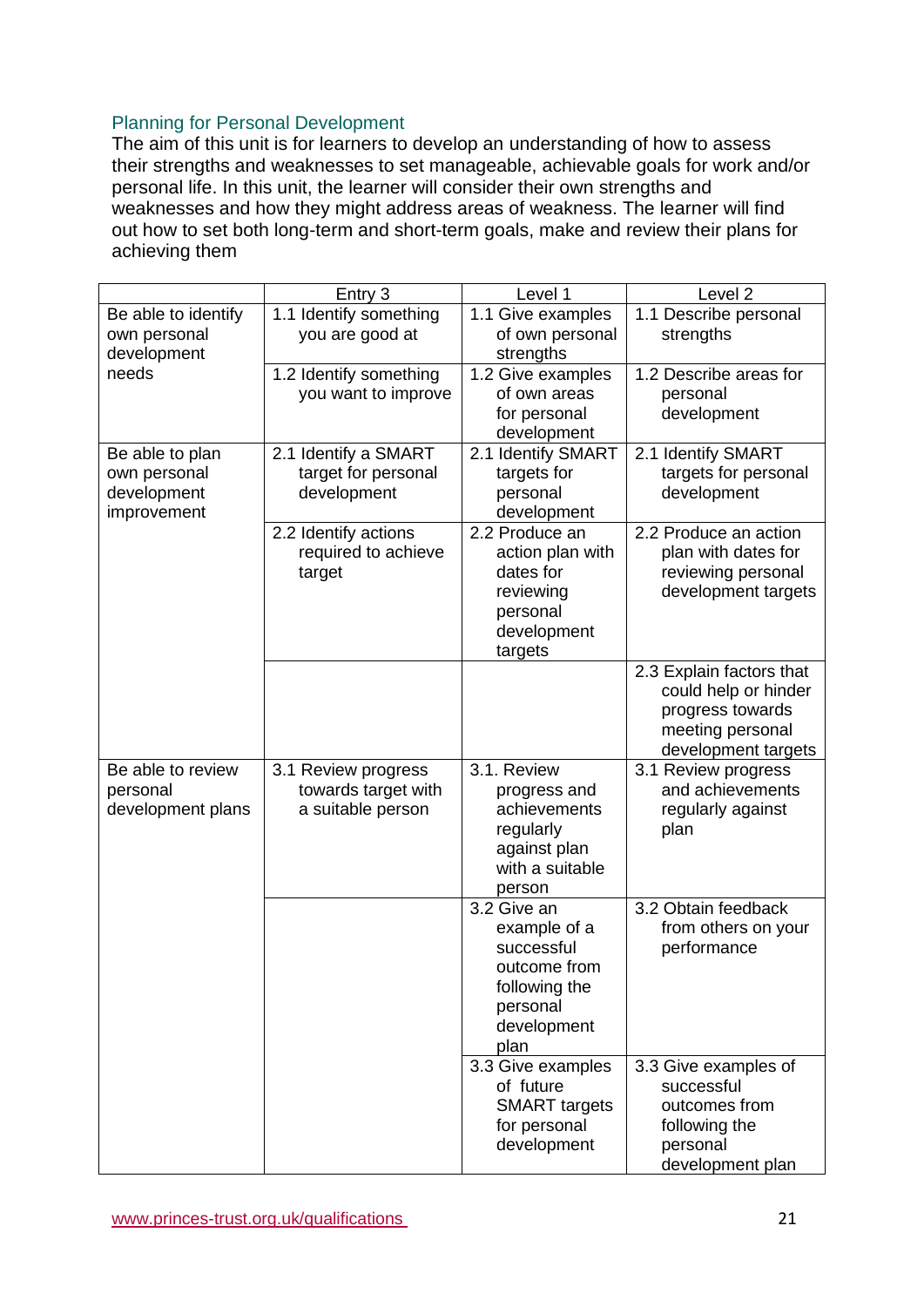### Planning for Personal Development

The aim of this unit is for learners to develop an understanding of how to assess their strengths and weaknesses to set manageable, achievable goals for work and/or personal life. In this unit, the learner will consider their own strengths and weaknesses and how they might address areas of weakness. The learner will find out how to set both long-term and short-term goals, make and review their plans for achieving them

|                     | Entry 3                | Level 1                    | Level <sub>2</sub>                 |
|---------------------|------------------------|----------------------------|------------------------------------|
| Be able to identify | 1.1 Identify something | 1.1 Give examples          | 1.1 Describe personal              |
| own personal        | you are good at        | of own personal            | strengths                          |
| development         |                        | strengths                  |                                    |
| needs               | 1.2 Identify something | 1.2 Give examples          | 1.2 Describe areas for             |
|                     | you want to improve    | of own areas               | personal                           |
|                     |                        | for personal               | development                        |
|                     |                        | development                |                                    |
| Be able to plan     | 2.1 Identify a SMART   | 2.1 Identify SMART         | 2.1 Identify SMART                 |
| own personal        | target for personal    | targets for                | targets for personal               |
| development         | development            | personal                   | development                        |
| improvement         |                        | development                |                                    |
|                     | 2.2 Identify actions   | 2.2 Produce an             | 2.2 Produce an action              |
|                     | required to achieve    | action plan with           | plan with dates for                |
|                     | target                 | dates for                  | reviewing personal                 |
|                     |                        | reviewing<br>personal      | development targets                |
|                     |                        | development                |                                    |
|                     |                        | targets                    |                                    |
|                     |                        |                            | 2.3 Explain factors that           |
|                     |                        |                            | could help or hinder               |
|                     |                        |                            | progress towards                   |
|                     |                        |                            | meeting personal                   |
|                     |                        |                            | development targets                |
| Be able to review   | 3.1 Review progress    | 3.1. Review                | 3.1 Review progress                |
| personal            | towards target with    | progress and               | and achievements                   |
| development plans   | a suitable person      | achievements               | regularly against                  |
|                     |                        | regularly                  | plan                               |
|                     |                        | against plan               |                                    |
|                     |                        | with a suitable            |                                    |
|                     |                        | person<br>3.2 Give an      | 3.2 Obtain feedback                |
|                     |                        |                            |                                    |
|                     |                        | example of a<br>successful | from others on your<br>performance |
|                     |                        | outcome from               |                                    |
|                     |                        | following the              |                                    |
|                     |                        | personal                   |                                    |
|                     |                        | development                |                                    |
|                     |                        | plan                       |                                    |
|                     |                        | 3.3 Give examples          | 3.3 Give examples of               |
|                     |                        | of future                  | successful                         |
|                     |                        | <b>SMART</b> targets       | outcomes from                      |
|                     |                        | for personal               | following the                      |
|                     |                        | development                | personal                           |
|                     |                        |                            | development plan                   |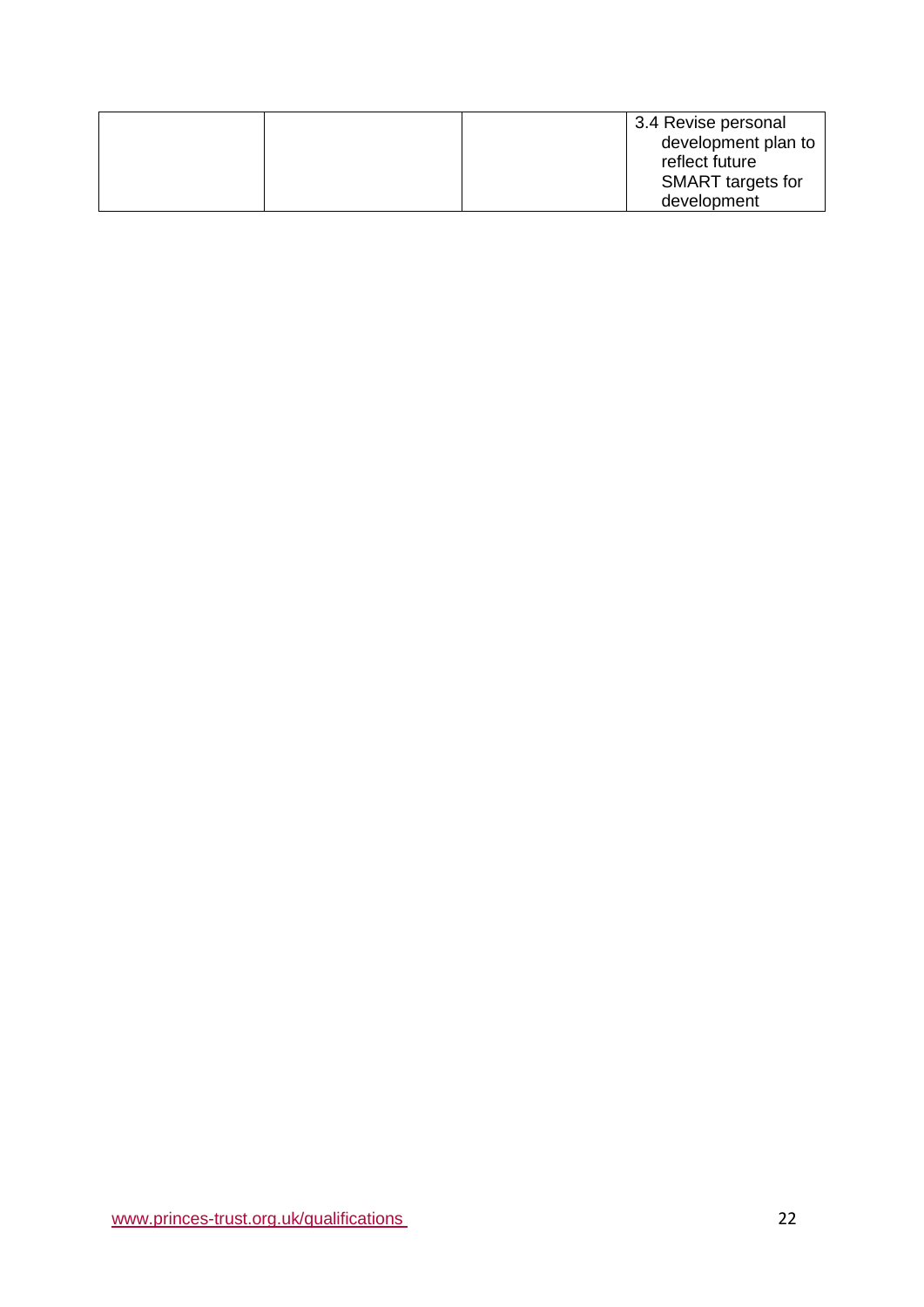|  | 3.4 Revise personal      |
|--|--------------------------|
|  | development plan to      |
|  | reflect future           |
|  | <b>SMART</b> targets for |
|  | development              |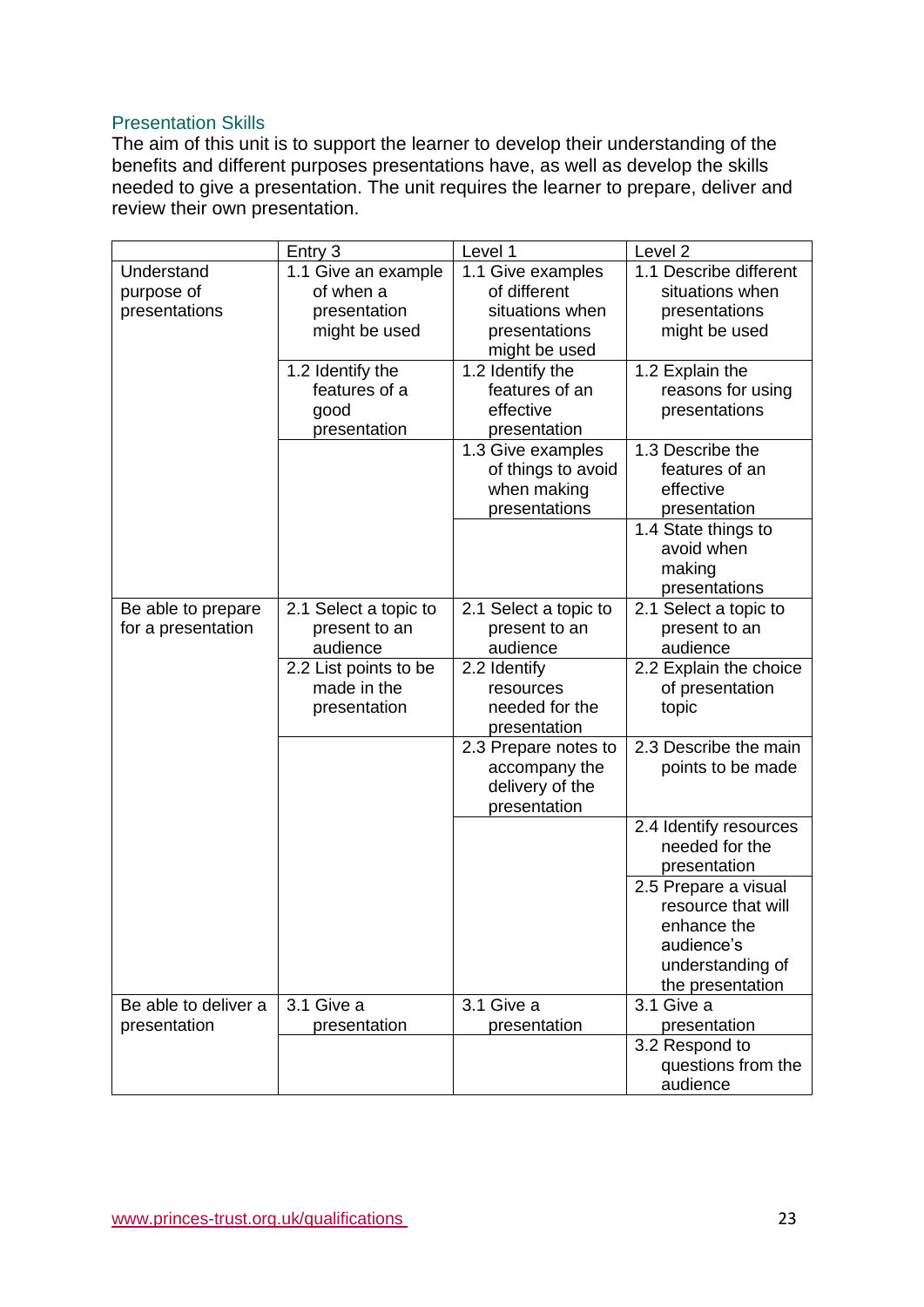### Presentation Skills

The aim of this unit is to support the learner to develop their understanding of the benefits and different purposes presentations have, as well as develop the skills needed to give a presentation. The unit requires the learner to prepare, deliver and review their own presentation.

|                      | Entry 3               | Level 1               | Level <sub>2</sub>     |
|----------------------|-----------------------|-----------------------|------------------------|
| Understand           | 1.1 Give an example   | 1.1 Give examples     | 1.1 Describe different |
| purpose of           | of when a             | of different          | situations when        |
| presentations        | presentation          | situations when       | presentations          |
|                      | might be used         | presentations         | might be used          |
|                      |                       | might be used         |                        |
|                      | 1.2 Identify the      | 1.2 Identify the      | 1.2 Explain the        |
|                      | features of a         | features of an        | reasons for using      |
|                      | good                  | effective             | presentations          |
|                      | presentation          | presentation          |                        |
|                      |                       | 1.3 Give examples     | 1.3 Describe the       |
|                      |                       | of things to avoid    | features of an         |
|                      |                       | when making           | effective              |
|                      |                       | presentations         | presentation           |
|                      |                       |                       | 1.4 State things to    |
|                      |                       |                       | avoid when             |
|                      |                       |                       | making                 |
|                      |                       |                       | presentations          |
| Be able to prepare   | 2.1 Select a topic to | 2.1 Select a topic to | 2.1 Select a topic to  |
| for a presentation   | present to an         | present to an         | present to an          |
|                      | audience              | audience              | audience               |
|                      | 2.2 List points to be | 2.2 Identify          | 2.2 Explain the choice |
|                      | made in the           | resources             | of presentation        |
|                      | presentation          | needed for the        | topic                  |
|                      |                       | presentation          |                        |
|                      |                       | 2.3 Prepare notes to  | 2.3 Describe the main  |
|                      |                       | accompany the         | points to be made      |
|                      |                       | delivery of the       |                        |
|                      |                       | presentation          |                        |
|                      |                       |                       | 2.4 Identify resources |
|                      |                       |                       | needed for the         |
|                      |                       |                       |                        |
|                      |                       |                       | presentation           |
|                      |                       |                       | 2.5 Prepare a visual   |
|                      |                       |                       | resource that will     |
|                      |                       |                       | enhance the            |
|                      |                       |                       | audience's             |
|                      |                       |                       | understanding of       |
|                      |                       |                       | the presentation       |
| Be able to deliver a | 3.1 Give a            | 3.1 Give a            | 3.1 Give a             |
| presentation         | presentation          | presentation          | presentation           |
|                      |                       |                       | 3.2 Respond to         |
|                      |                       |                       | questions from the     |
|                      |                       |                       | audience               |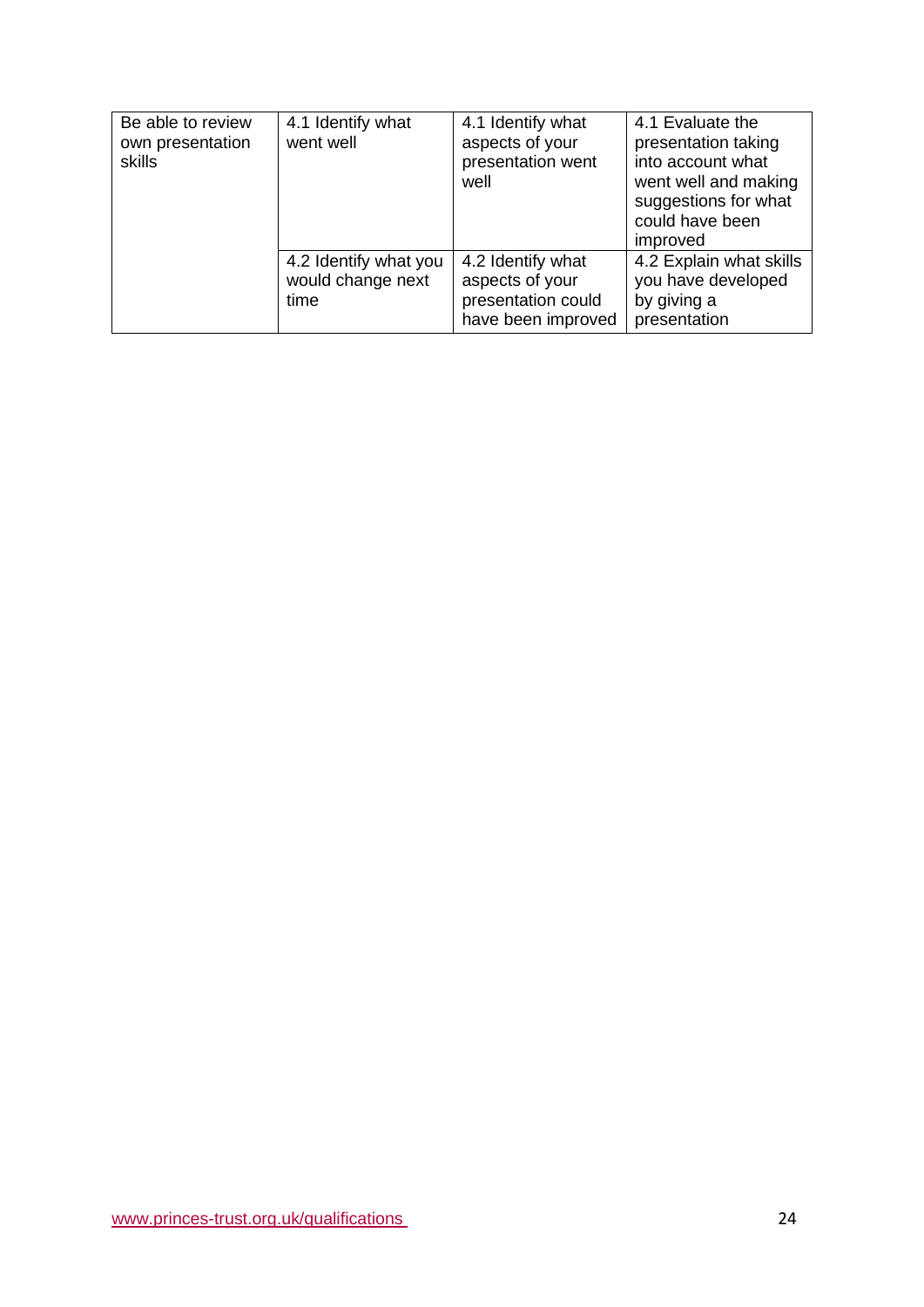| Be able to review<br>own presentation<br>skills | 4.1 Identify what<br>went well                     | 4.1 Identify what<br>aspects of your<br>presentation went<br>well                | 4.1 Evaluate the<br>presentation taking<br>into account what<br>went well and making<br>suggestions for what<br>could have been<br>improved |
|-------------------------------------------------|----------------------------------------------------|----------------------------------------------------------------------------------|---------------------------------------------------------------------------------------------------------------------------------------------|
|                                                 | 4.2 Identify what you<br>would change next<br>time | 4.2 Identify what<br>aspects of your<br>presentation could<br>have been improved | 4.2 Explain what skills<br>you have developed<br>by giving a<br>presentation                                                                |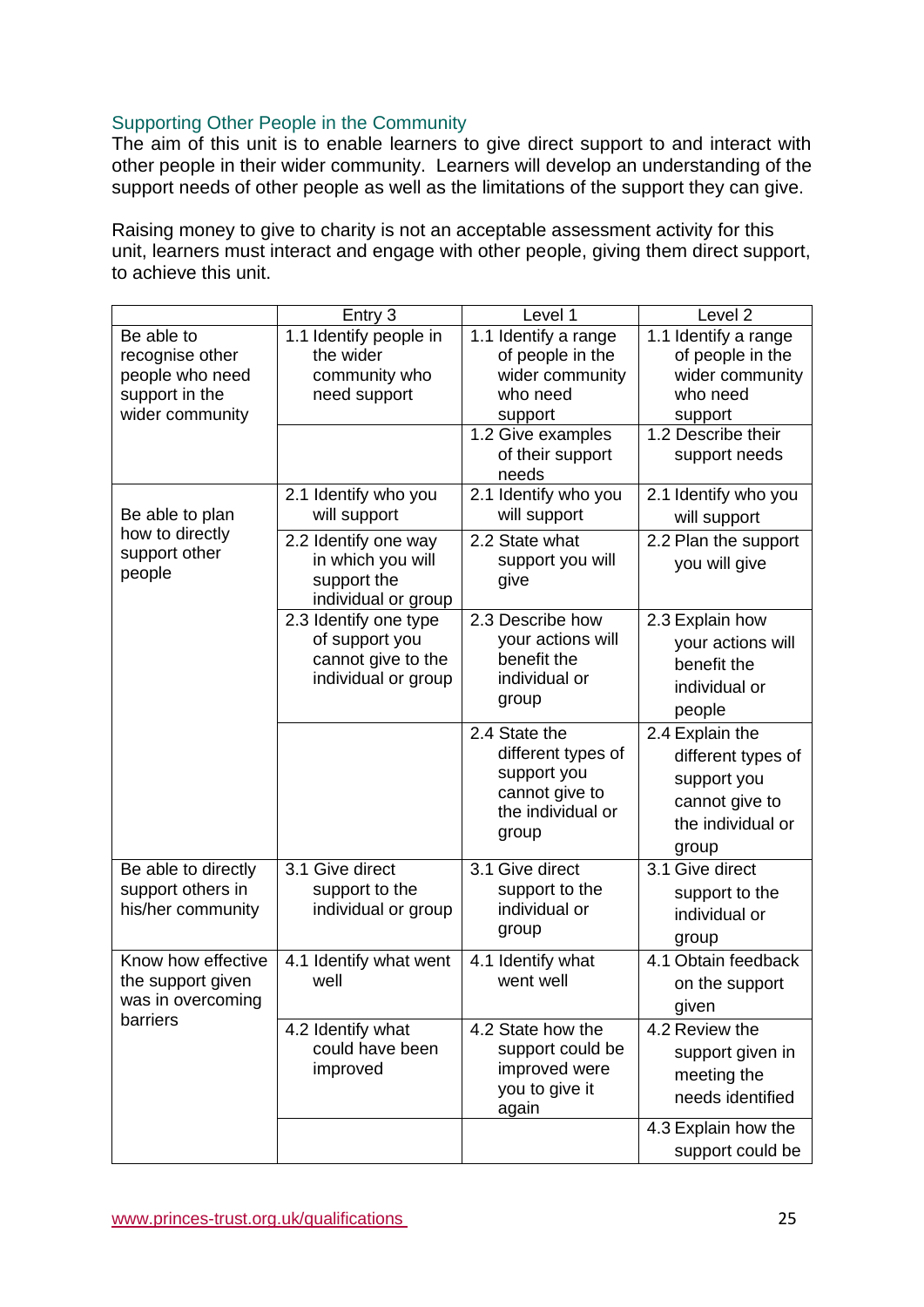### Supporting Other People in the Community

The aim of this unit is to enable learners to give direct support to and interact with other people in their wider community. Learners will develop an understanding of the support needs of other people as well as the limitations of the support they can give.

Raising money to give to charity is not an acceptable assessment activity for this unit, learners must interact and engage with other people, giving them direct support, to achieve this unit.

|                     | Entry 3                | Level 1                               | Level <sub>2</sub>   |
|---------------------|------------------------|---------------------------------------|----------------------|
| Be able to          | 1.1 Identify people in | 1.1 Identify a range                  | 1.1 Identify a range |
| recognise other     | the wider              | of people in the                      | of people in the     |
| people who need     | community who          | wider community                       | wider community      |
| support in the      | need support           | who need                              | who need             |
| wider community     |                        | support                               | support              |
|                     |                        | 1.2 Give examples<br>of their support | 1.2 Describe their   |
|                     |                        | needs                                 | support needs        |
|                     | 2.1 Identify who you   | 2.1 Identify who you                  | 2.1 Identify who you |
| Be able to plan     | will support           | will support                          | will support         |
| how to directly     | 2.2 Identify one way   | 2.2 State what                        | 2.2 Plan the support |
| support other       | in which you will      | support you will                      | you will give        |
| people              | support the            | give                                  |                      |
|                     | individual or group    |                                       |                      |
|                     | 2.3 Identify one type  | 2.3 Describe how                      | 2.3 Explain how      |
|                     | of support you         | your actions will                     | your actions will    |
|                     | cannot give to the     | benefit the<br>individual or          | benefit the          |
|                     | individual or group    | group                                 | individual or        |
|                     |                        |                                       | people               |
|                     |                        | 2.4 State the                         | 2.4 Explain the      |
|                     |                        | different types of                    | different types of   |
|                     |                        | support you                           | support you          |
|                     |                        | cannot give to                        | cannot give to       |
|                     |                        | the individual or                     | the individual or    |
|                     |                        | group                                 | group                |
| Be able to directly | 3.1 Give direct        | 3.1 Give direct                       | 3.1 Give direct      |
| support others in   | support to the         | support to the                        | support to the       |
| his/her community   | individual or group    | individual or                         | individual or        |
|                     |                        | group                                 |                      |
|                     |                        |                                       | group                |
| Know how effective  | 4.1 Identify what went | 4.1 Identify what                     | 4.1 Obtain feedback  |
| the support given   | well                   | went well                             | on the support       |
| was in overcoming   |                        |                                       | given                |
| barriers            | 4.2 Identify what      | 4.2 State how the                     | 4.2 Review the       |
|                     | could have been        | support could be                      | support given in     |
|                     | improved               | improved were                         | meeting the          |
|                     |                        | you to give it                        | needs identified     |
|                     |                        | again                                 |                      |
|                     |                        |                                       | 4.3 Explain how the  |
|                     |                        |                                       | support could be     |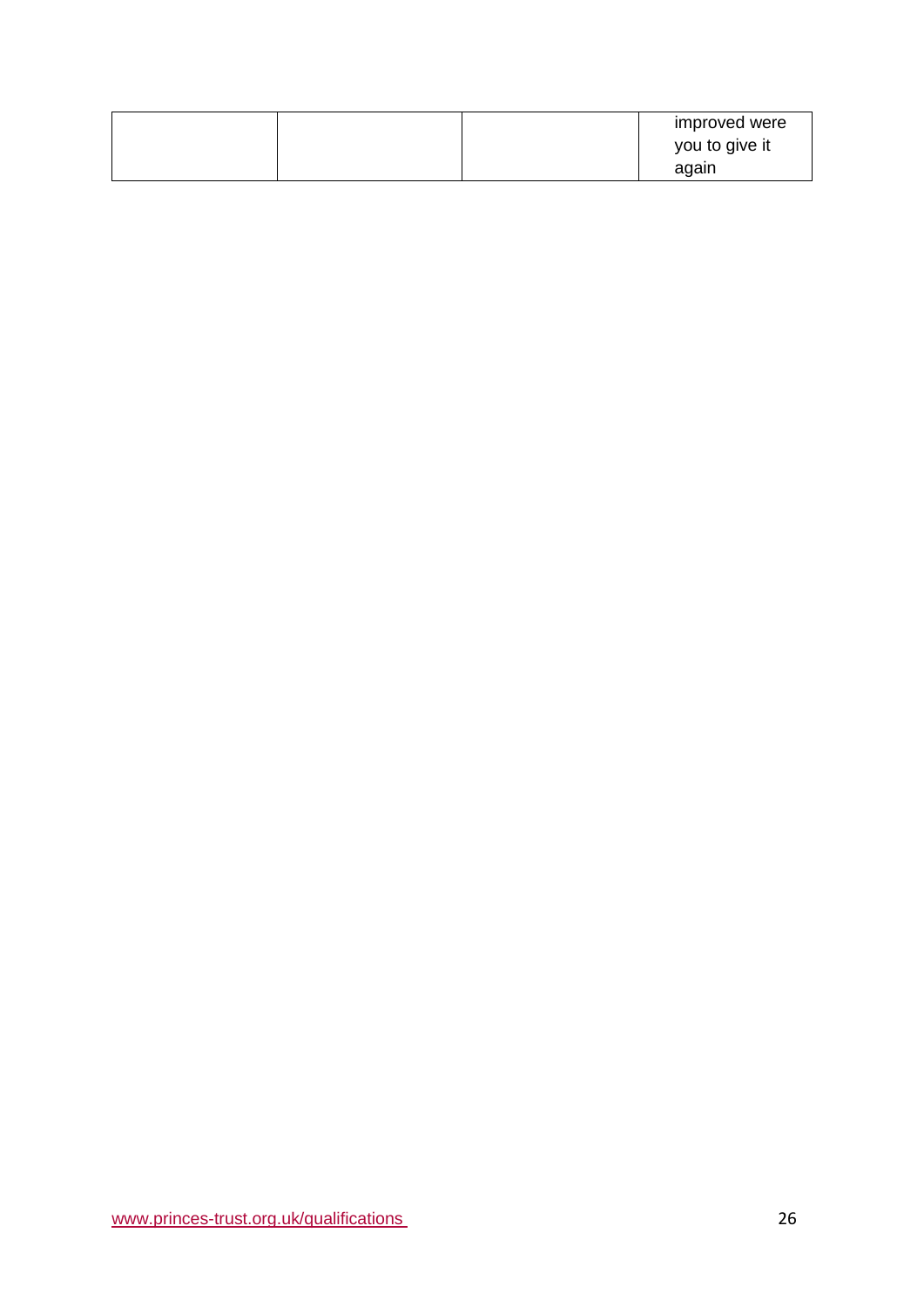|  | improved were  |
|--|----------------|
|  | you to give it |
|  | again          |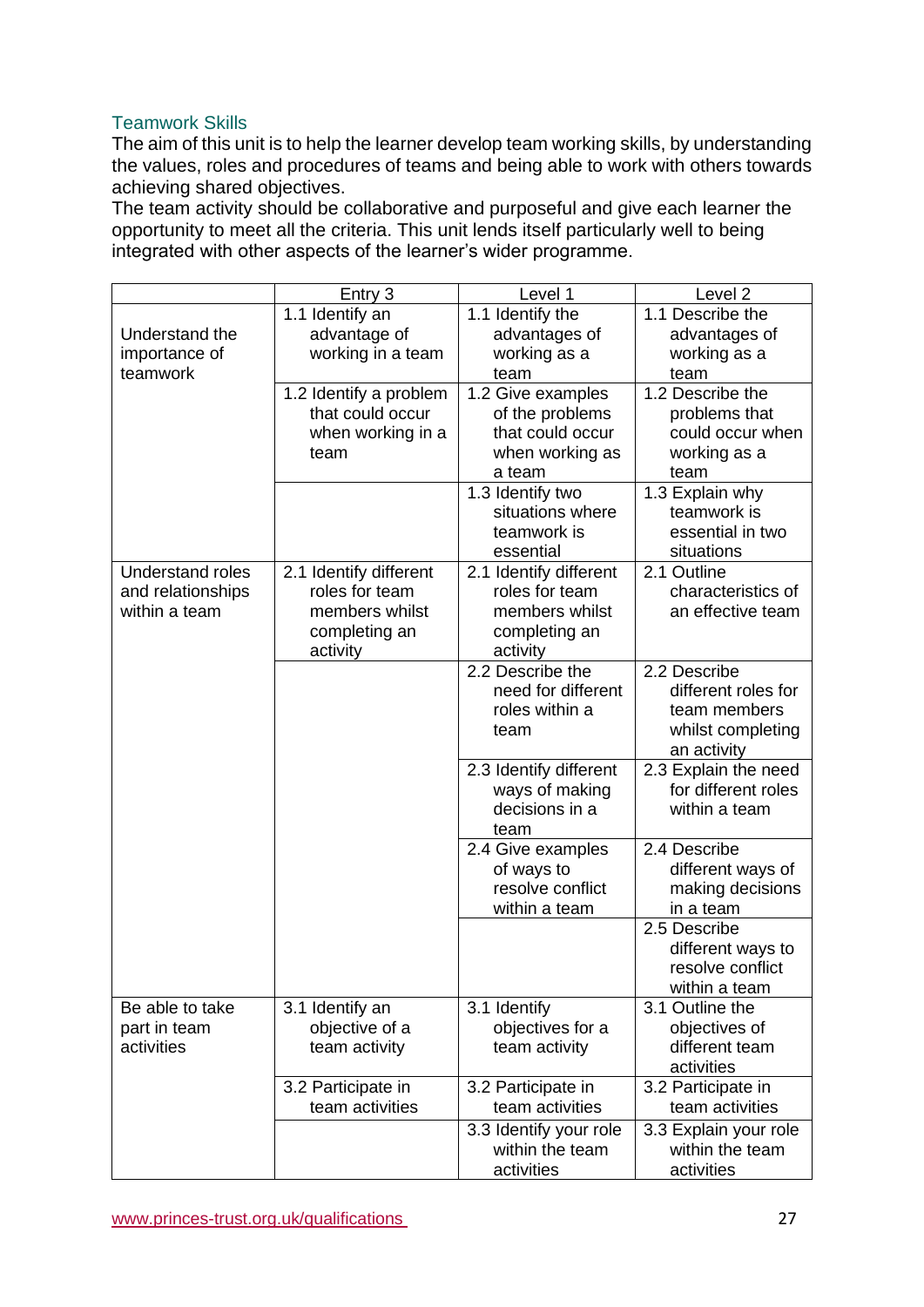### Teamwork Skills

The aim of this unit is to help the learner develop team working skills, by understanding the values, roles and procedures of teams and being able to work with others towards achieving shared objectives.

The team activity should be collaborative and purposeful and give each learner the opportunity to meet all the criteria. This unit lends itself particularly well to being integrated with other aspects of the learner's wider programme.

|                         | Entry 3                | Level 1                  | Level <sub>2</sub>              |
|-------------------------|------------------------|--------------------------|---------------------------------|
|                         | 1.1 Identify an        | 1.1 Identify the         | 1.1 Describe the                |
| Understand the          | advantage of           | advantages of            | advantages of                   |
| importance of           | working in a team      | working as a             | working as a                    |
| teamwork                |                        | team                     | team                            |
|                         | 1.2 Identify a problem | 1.2 Give examples        | 1.2 Describe the                |
|                         | that could occur       | of the problems          | problems that                   |
|                         | when working in a      | that could occur         | could occur when                |
|                         | team                   | when working as          | working as a                    |
|                         |                        | a team                   | team                            |
|                         |                        | 1.3 Identify two         | 1.3 Explain why                 |
|                         |                        | situations where         | teamwork is<br>essential in two |
|                         |                        | teamwork is<br>essential | situations                      |
| <b>Understand roles</b> | 2.1 Identify different | 2.1 Identify different   | 2.1 Outline                     |
| and relationships       | roles for team         | roles for team           | characteristics of              |
| within a team           | members whilst         | members whilst           | an effective team               |
|                         | completing an          | completing an            |                                 |
|                         | activity               | activity                 |                                 |
|                         |                        | 2.2 Describe the         | 2.2 Describe                    |
|                         |                        | need for different       | different roles for             |
|                         |                        | roles within a           | team members                    |
|                         |                        | team                     | whilst completing               |
|                         |                        |                          | an activity                     |
|                         |                        | 2.3 Identify different   | 2.3 Explain the need            |
|                         |                        | ways of making           | for different roles             |
|                         |                        | decisions in a           | within a team                   |
|                         |                        | team                     |                                 |
|                         |                        | 2.4 Give examples        | 2.4 Describe                    |
|                         |                        | of ways to               | different ways of               |
|                         |                        | resolve conflict         | making decisions                |
|                         |                        | within a team            | in a team<br>2.5 Describe       |
|                         |                        |                          | different ways to               |
|                         |                        |                          | resolve conflict                |
|                         |                        |                          | within a team                   |
| Be able to take         | 3.1 Identify an        | 3.1 Identify             | 3.1 Outline the                 |
| part in team            | objective of a         | objectives for a         | objectives of                   |
| activities              | team activity          | team activity            | different team                  |
|                         |                        |                          | activities                      |
|                         | 3.2 Participate in     | 3.2 Participate in       | 3.2 Participate in              |
|                         | team activities        | team activities          | team activities                 |
|                         |                        | 3.3 Identify your role   | 3.3 Explain your role           |
|                         |                        | within the team          | within the team                 |
|                         |                        | activities               | activities                      |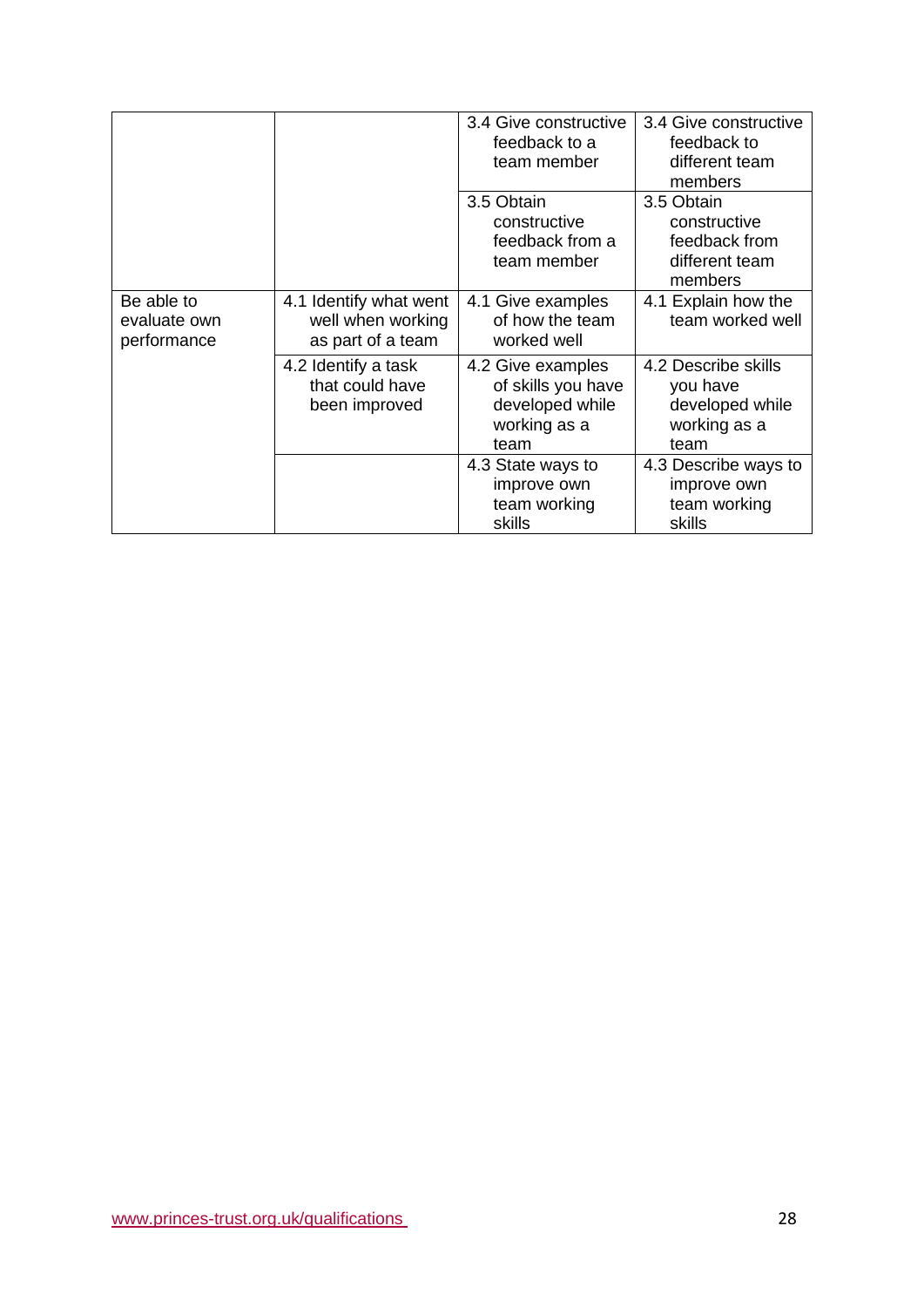|                                           |                                                                  | 3.4 Give constructive<br>feedback to a<br>team member                              | 3.4 Give constructive<br>feedback to<br>different team<br>members          |
|-------------------------------------------|------------------------------------------------------------------|------------------------------------------------------------------------------------|----------------------------------------------------------------------------|
|                                           |                                                                  | 3.5 Obtain<br>constructive<br>feedback from a<br>team member                       | 3.5 Obtain<br>constructive<br>feedback from<br>different team<br>members   |
| Be able to<br>evaluate own<br>performance | 4.1 Identify what went<br>well when working<br>as part of a team | 4.1 Give examples<br>of how the team<br>worked well                                | 4.1 Explain how the<br>team worked well                                    |
|                                           | 4.2 Identify a task<br>that could have<br>been improved          | 4.2 Give examples<br>of skills you have<br>developed while<br>working as a<br>team | 4.2 Describe skills<br>you have<br>developed while<br>working as a<br>team |
|                                           |                                                                  | 4.3 State ways to<br>improve own<br>team working<br>skills                         | 4.3 Describe ways to<br>improve own<br>team working<br>skills              |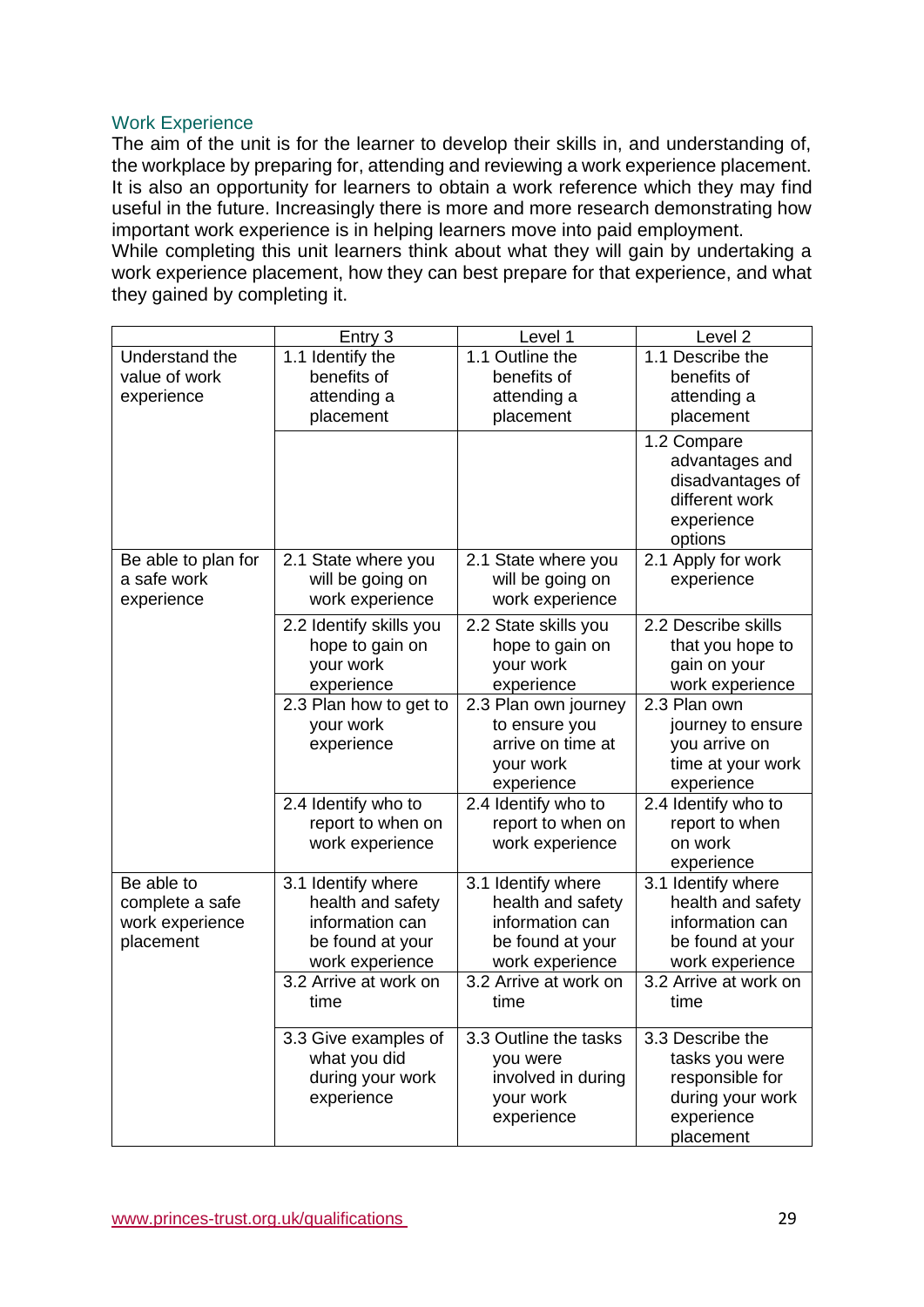### Work Experience

The aim of the unit is for the learner to develop their skills in, and understanding of, the workplace by preparing for, attending and reviewing a work experience placement. It is also an opportunity for learners to obtain a work reference which they may find useful in the future. Increasingly there is more and more research demonstrating how important work experience is in helping learners move into paid employment. While completing this unit learners think about what they will gain by undertaking a

work experience placement, how they can best prepare for that experience, and what they gained by completing it.

|                     | Entry 3                                                               | Level 1                                                                               | Level <sub>2</sub>                                                                           |
|---------------------|-----------------------------------------------------------------------|---------------------------------------------------------------------------------------|----------------------------------------------------------------------------------------------|
| Understand the      | 1.1 Identify the                                                      | 1.1 Outline the                                                                       | 1.1 Describe the                                                                             |
| value of work       | benefits of                                                           | benefits of                                                                           | benefits of                                                                                  |
| experience          | attending a                                                           | attending a                                                                           | attending a                                                                                  |
|                     | placement                                                             | placement                                                                             | placement                                                                                    |
|                     |                                                                       |                                                                                       | 1.2 Compare<br>advantages and<br>disadvantages of<br>different work<br>experience<br>options |
| Be able to plan for | 2.1 State where you                                                   | 2.1 State where you                                                                   | 2.1 Apply for work                                                                           |
| a safe work         | will be going on                                                      | will be going on                                                                      | experience                                                                                   |
| experience          | work experience                                                       | work experience                                                                       |                                                                                              |
|                     | 2.2 Identify skills you<br>hope to gain on<br>your work<br>experience | 2.2 State skills you<br>hope to gain on<br>your work<br>experience                    | 2.2 Describe skills<br>that you hope to<br>gain on your<br>work experience                   |
|                     | 2.3 Plan how to get to<br>your work<br>experience                     | 2.3 Plan own journey<br>to ensure you<br>arrive on time at<br>your work<br>experience | 2.3 Plan own<br>journey to ensure<br>you arrive on<br>time at your work<br>experience        |
|                     | 2.4 Identify who to                                                   | 2.4 Identify who to                                                                   | 2.4 Identify who to                                                                          |
|                     | report to when on<br>work experience                                  | report to when on<br>work experience                                                  | report to when<br>on work<br>experience                                                      |
| Be able to          | 3.1 Identify where                                                    | 3.1 Identify where                                                                    | 3.1 Identify where                                                                           |
| complete a safe     | health and safety                                                     | health and safety                                                                     | health and safety                                                                            |
| work experience     | information can                                                       | information can                                                                       | information can                                                                              |
| placement           | be found at your                                                      | be found at your                                                                      | be found at your                                                                             |
|                     | work experience                                                       | work experience                                                                       | work experience                                                                              |
|                     | 3.2 Arrive at work on<br>time                                         | 3.2 Arrive at work on<br>time                                                         | 3.2 Arrive at work on<br>time                                                                |
|                     | 3.3 Give examples of                                                  | 3.3 Outline the tasks                                                                 | 3.3 Describe the                                                                             |
|                     | what you did                                                          | you were                                                                              | tasks you were                                                                               |
|                     | during your work                                                      | involved in during                                                                    | responsible for                                                                              |
|                     | experience                                                            | your work                                                                             | during your work                                                                             |
|                     |                                                                       | experience                                                                            | experience<br>placement                                                                      |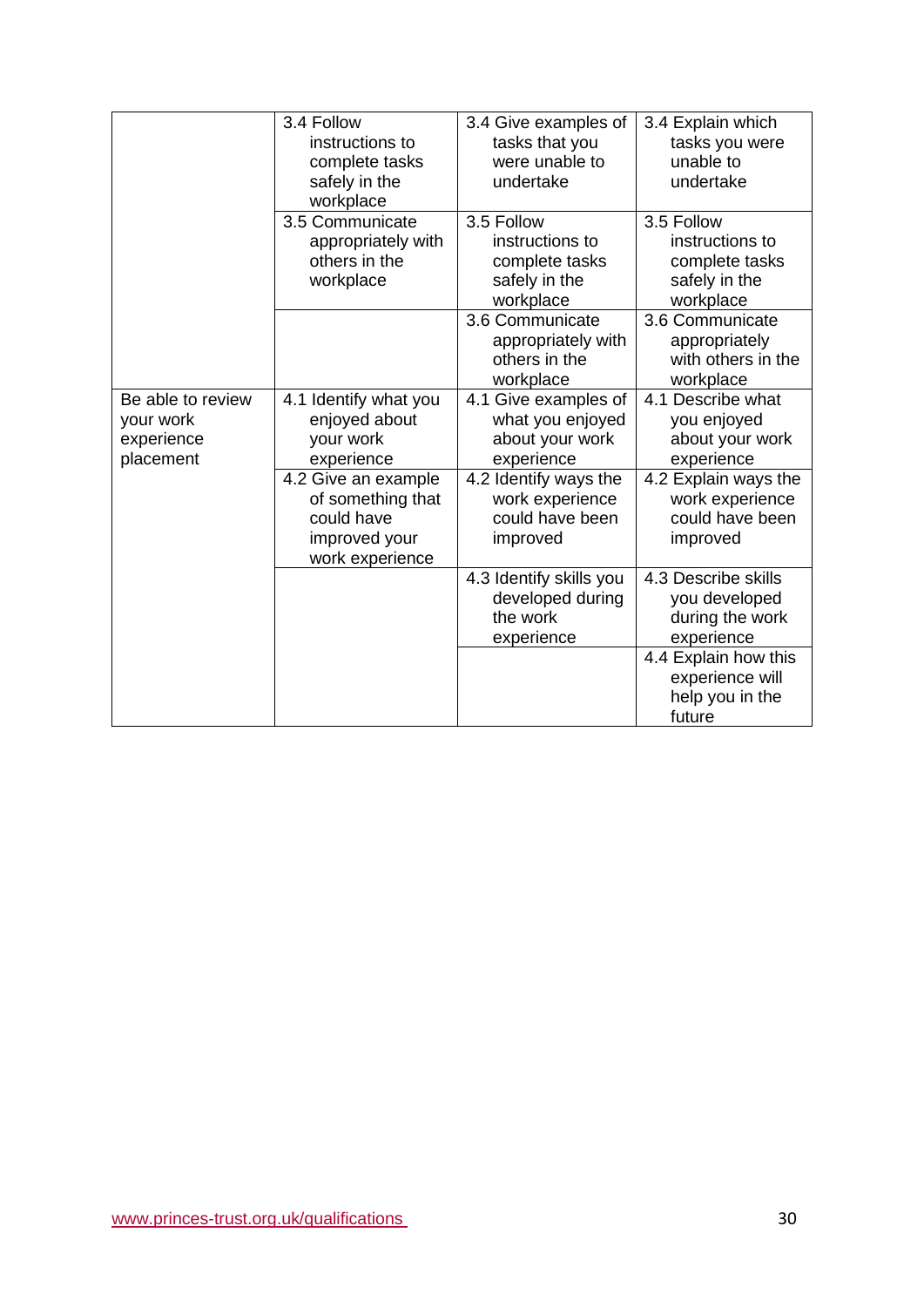|                                                           | 3.4 Follow<br>instructions to<br>complete tasks<br>safely in the<br>workplace              | 3.4 Give examples of<br>tasks that you<br>were unable to<br>undertake         | 3.4 Explain which<br>tasks you were<br>unable to<br>undertake                 |
|-----------------------------------------------------------|--------------------------------------------------------------------------------------------|-------------------------------------------------------------------------------|-------------------------------------------------------------------------------|
|                                                           | 3.5 Communicate<br>appropriately with<br>others in the<br>workplace                        | 3.5 Follow<br>instructions to<br>complete tasks<br>safely in the<br>workplace | 3.5 Follow<br>instructions to<br>complete tasks<br>safely in the<br>workplace |
|                                                           |                                                                                            | 3.6 Communicate<br>appropriately with<br>others in the<br>workplace           | 3.6 Communicate<br>appropriately<br>with others in the<br>workplace           |
| Be able to review<br>your work<br>experience<br>placement | 4.1 Identify what you<br>enjoyed about<br>your work<br>experience                          | 4.1 Give examples of<br>what you enjoyed<br>about your work<br>experience     | 4.1 Describe what<br>you enjoyed<br>about your work<br>experience             |
|                                                           | 4.2 Give an example<br>of something that<br>could have<br>improved your<br>work experience | 4.2 Identify ways the<br>work experience<br>could have been<br>improved       | 4.2 Explain ways the<br>work experience<br>could have been<br>improved        |
|                                                           |                                                                                            | 4.3 Identify skills you<br>developed during<br>the work<br>experience         | 4.3 Describe skills<br>you developed<br>during the work<br>experience         |
|                                                           |                                                                                            |                                                                               | 4.4 Explain how this<br>experience will<br>help you in the<br>future          |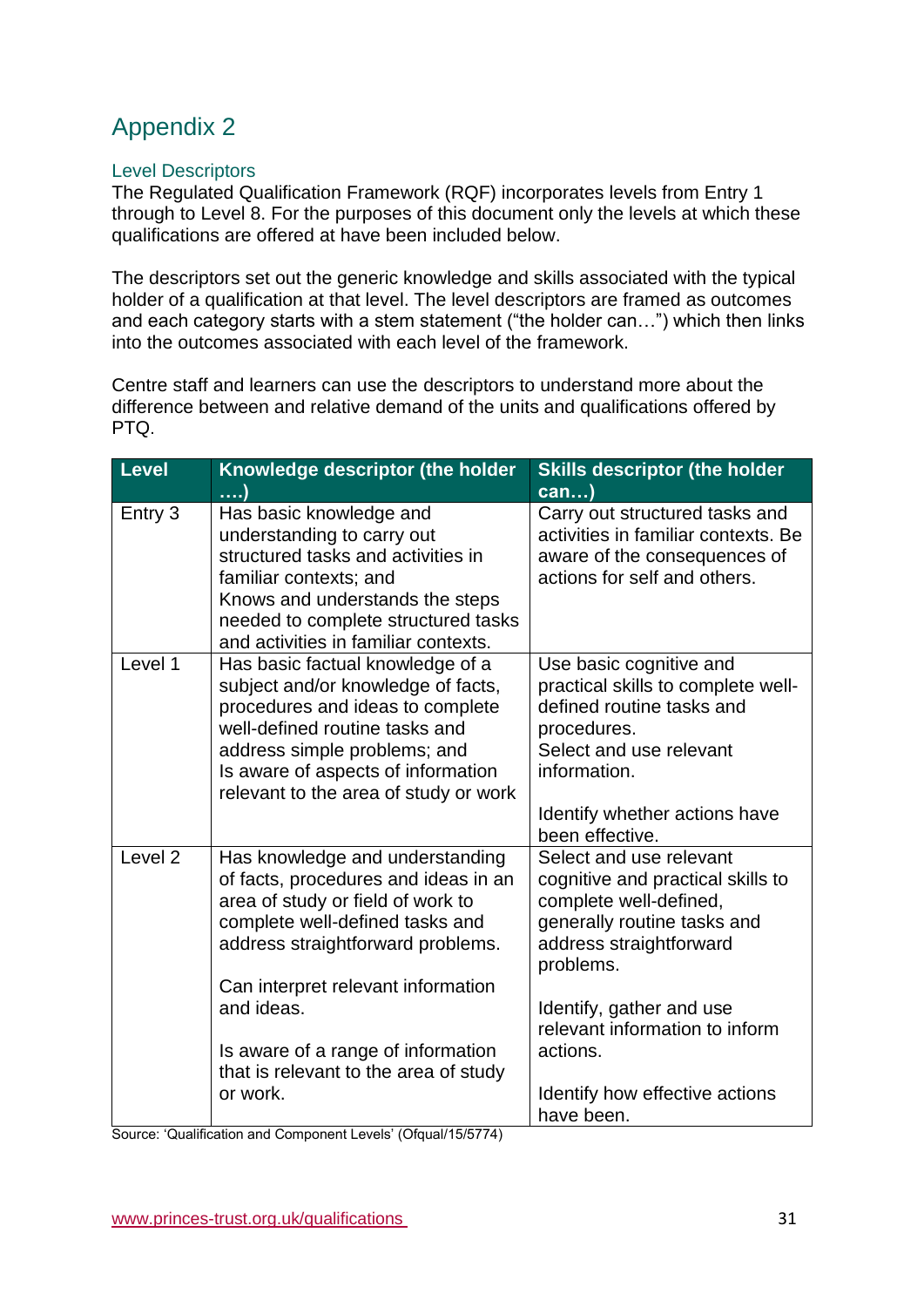# <span id="page-30-0"></span>Appendix 2

### Level Descriptors

The Regulated Qualification Framework (RQF) incorporates levels from Entry 1 through to Level 8. For the purposes of this document only the levels at which these qualifications are offered at have been included below.

The descriptors set out the generic knowledge and skills associated with the typical holder of a qualification at that level. The level descriptors are framed as outcomes and each category starts with a stem statement ("the holder can…") which then links into the outcomes associated with each level of the framework.

Centre staff and learners can use the descriptors to understand more about the difference between and relative demand of the units and qualifications offered by PTQ.

| <b>Level</b>       | Knowledge descriptor (the holder                                                                                                                                                                                                                                                                                                    | <b>Skills descriptor (the holder</b>                                                                                                                                                                                                                                                    |
|--------------------|-------------------------------------------------------------------------------------------------------------------------------------------------------------------------------------------------------------------------------------------------------------------------------------------------------------------------------------|-----------------------------------------------------------------------------------------------------------------------------------------------------------------------------------------------------------------------------------------------------------------------------------------|
|                    | )                                                                                                                                                                                                                                                                                                                                   | $can$ )                                                                                                                                                                                                                                                                                 |
| Entry 3            | Has basic knowledge and<br>understanding to carry out<br>structured tasks and activities in<br>familiar contexts; and<br>Knows and understands the steps<br>needed to complete structured tasks<br>and activities in familiar contexts.                                                                                             | Carry out structured tasks and<br>activities in familiar contexts. Be<br>aware of the consequences of<br>actions for self and others.                                                                                                                                                   |
| Level 1            | Has basic factual knowledge of a<br>subject and/or knowledge of facts,<br>procedures and ideas to complete<br>well-defined routine tasks and<br>address simple problems; and<br>Is aware of aspects of information<br>relevant to the area of study or work                                                                         | Use basic cognitive and<br>practical skills to complete well-<br>defined routine tasks and<br>procedures.<br>Select and use relevant<br>information.<br>Identify whether actions have<br>been effective.                                                                                |
| Level <sub>2</sub> | Has knowledge and understanding<br>of facts, procedures and ideas in an<br>area of study or field of work to<br>complete well-defined tasks and<br>address straightforward problems.<br>Can interpret relevant information<br>and ideas.<br>Is aware of a range of information<br>that is relevant to the area of study<br>or work. | Select and use relevant<br>cognitive and practical skills to<br>complete well-defined,<br>generally routine tasks and<br>address straightforward<br>problems.<br>Identify, gather and use<br>relevant information to inform<br>actions.<br>Identify how effective actions<br>have been. |

Source: 'Qualification and Component Levels' (Ofqual/15/5774)